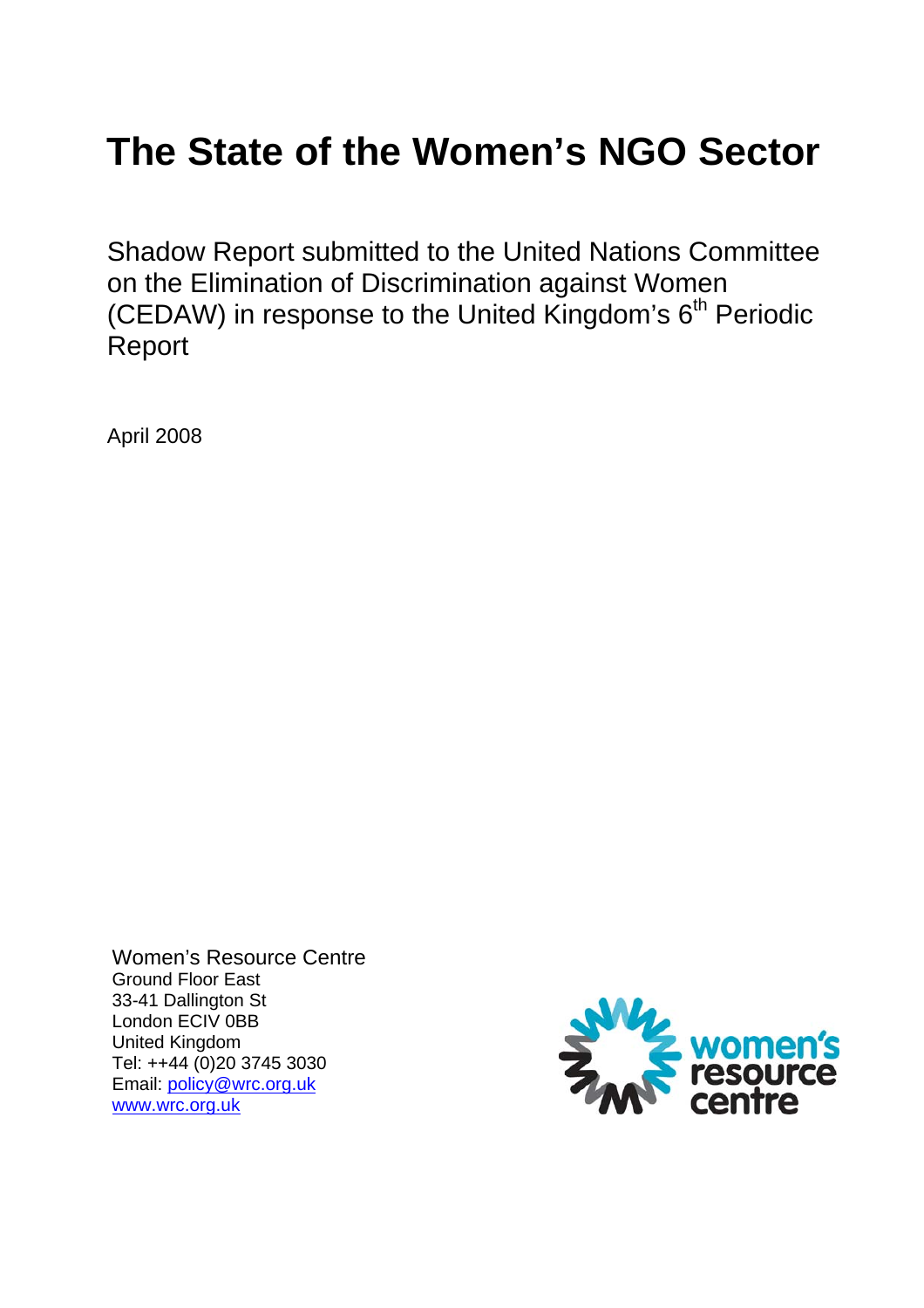# **The State of the Women's NGO Sector**

Shadow Report submitted to the United Nations Committee on the Elimination of Discrimination against Women (CEDAW) in response to the United Kingdom's  $6<sup>th</sup>$  Periodic Report

April 2008

Women's Resource Centre Ground Floor East 33-41 Dallington St London ECIV 0BB United Kingdom Tel: ++44 (0)20 3745 3030 Email: policy@wrc.org.uk www.wrc.org.uk

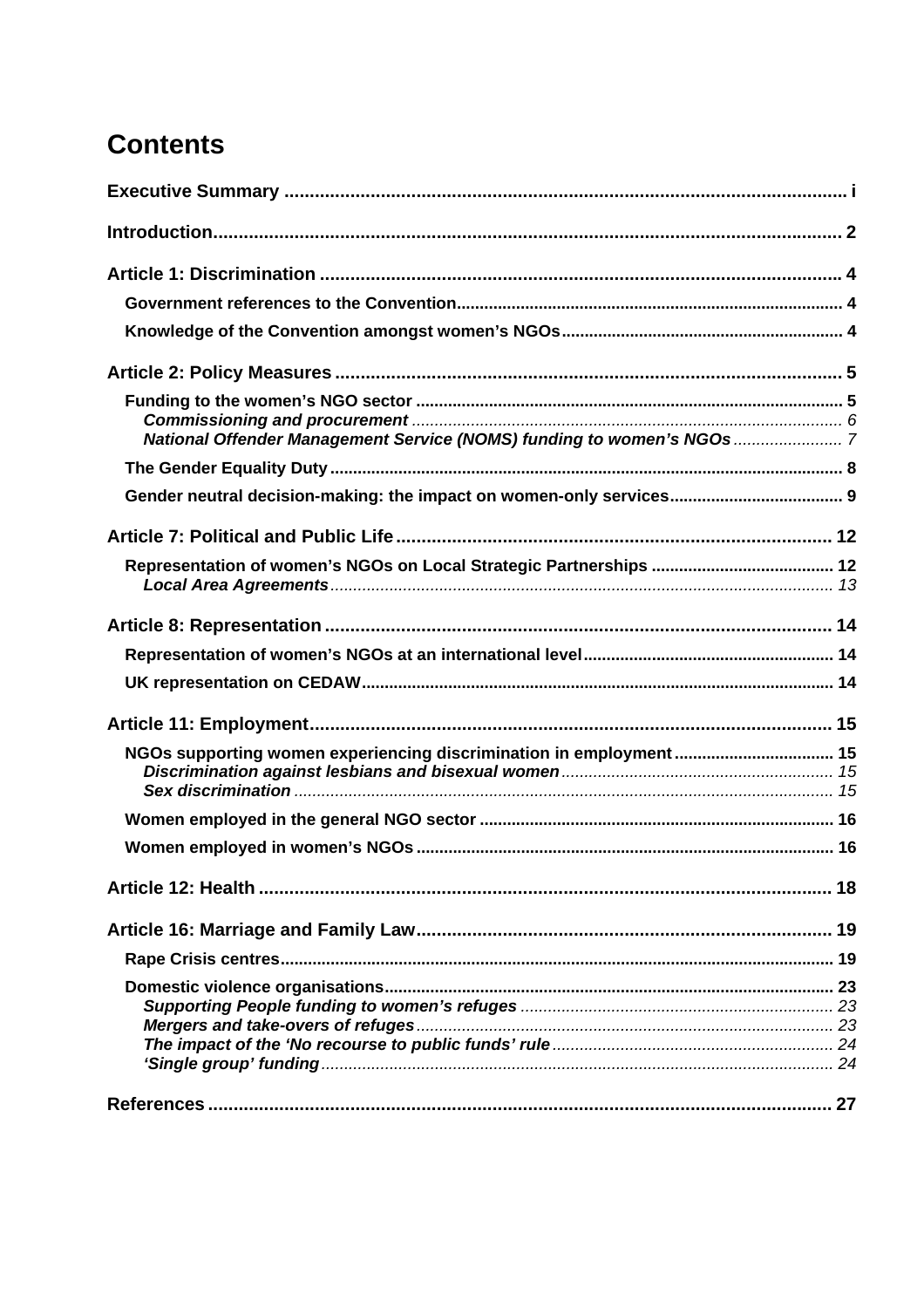## **Contents**

| NGOs supporting women experiencing discrimination in employment 15 |  |
|--------------------------------------------------------------------|--|
|                                                                    |  |
|                                                                    |  |
|                                                                    |  |
|                                                                    |  |
|                                                                    |  |
|                                                                    |  |
|                                                                    |  |
|                                                                    |  |
|                                                                    |  |
|                                                                    |  |
|                                                                    |  |
|                                                                    |  |
|                                                                    |  |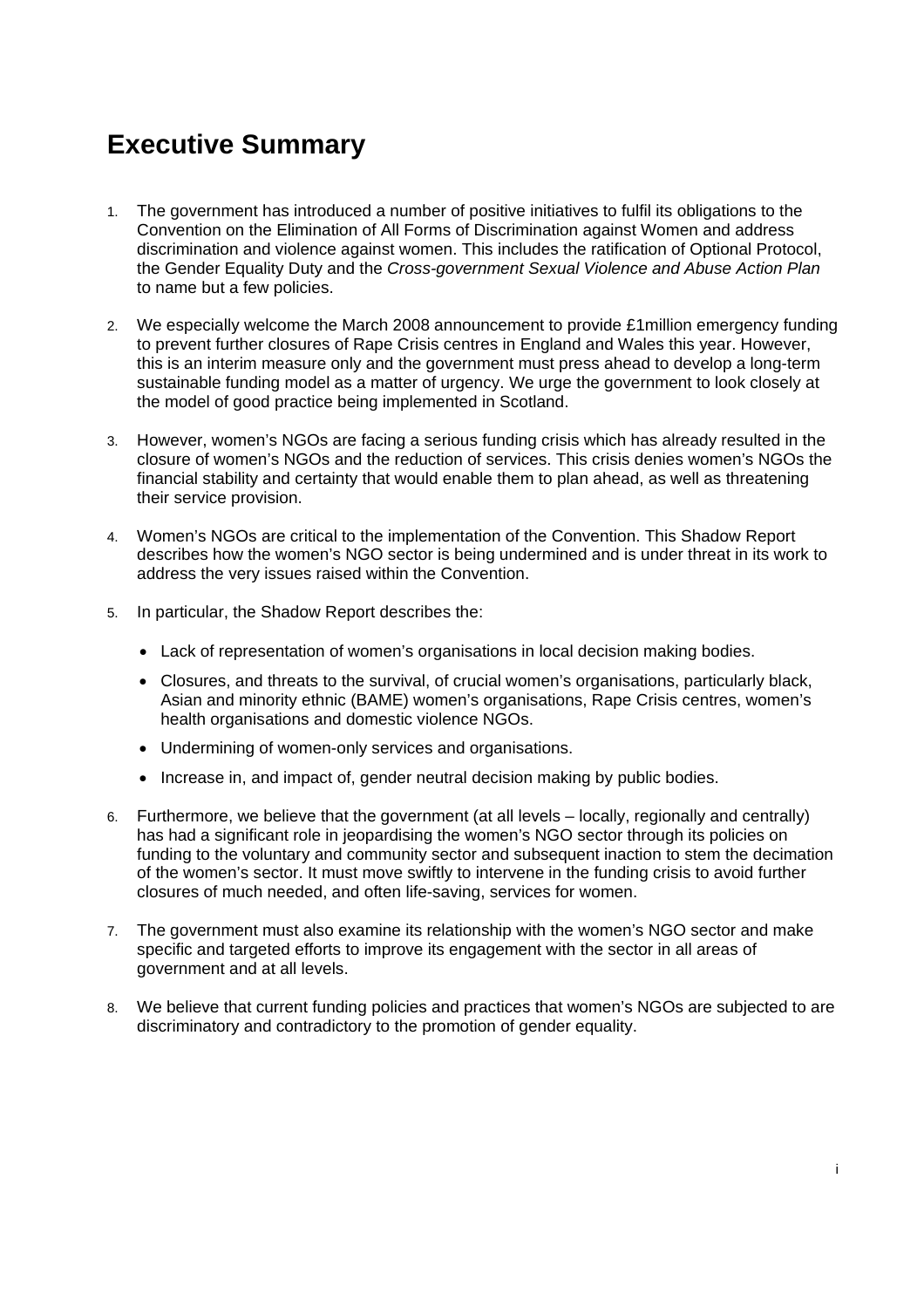## **Executive Summary**

- 1. The government has introduced a number of positive initiatives to fulfil its obligations to the Convention on the Elimination of All Forms of Discrimination against Women and address discrimination and violence against women. This includes the ratification of Optional Protocol, the Gender Equality Duty and the *Cross-government Sexual Violence and Abuse Action Plan* to name but a few policies.
- 2. We especially welcome the March 2008 announcement to provide £1million emergency funding to prevent further closures of Rape Crisis centres in England and Wales this year. However, this is an interim measure only and the government must press ahead to develop a long-term sustainable funding model as a matter of urgency. We urge the government to look closely at the model of good practice being implemented in Scotland.
- 3. However, women's NGOs are facing a serious funding crisis which has already resulted in the closure of women's NGOs and the reduction of services. This crisis denies women's NGOs the financial stability and certainty that would enable them to plan ahead, as well as threatening their service provision.
- 4. Women's NGOs are critical to the implementation of the Convention. This Shadow Report describes how the women's NGO sector is being undermined and is under threat in its work to address the very issues raised within the Convention.
- 5. In particular, the Shadow Report describes the:
	- Lack of representation of women's organisations in local decision making bodies.
	- Closures, and threats to the survival, of crucial women's organisations, particularly black, Asian and minority ethnic (BAME) women's organisations, Rape Crisis centres, women's health organisations and domestic violence NGOs.
	- Undermining of women-only services and organisations.
	- Increase in, and impact of, gender neutral decision making by public bodies.
- 6. Furthermore, we believe that the government (at all levels locally, regionally and centrally) has had a significant role in jeopardising the women's NGO sector through its policies on funding to the voluntary and community sector and subsequent inaction to stem the decimation of the women's sector. It must move swiftly to intervene in the funding crisis to avoid further closures of much needed, and often life-saving, services for women.
- 7. The government must also examine its relationship with the women's NGO sector and make specific and targeted efforts to improve its engagement with the sector in all areas of government and at all levels.
- 8. We believe that current funding policies and practices that women's NGOs are subjected to are discriminatory and contradictory to the promotion of gender equality.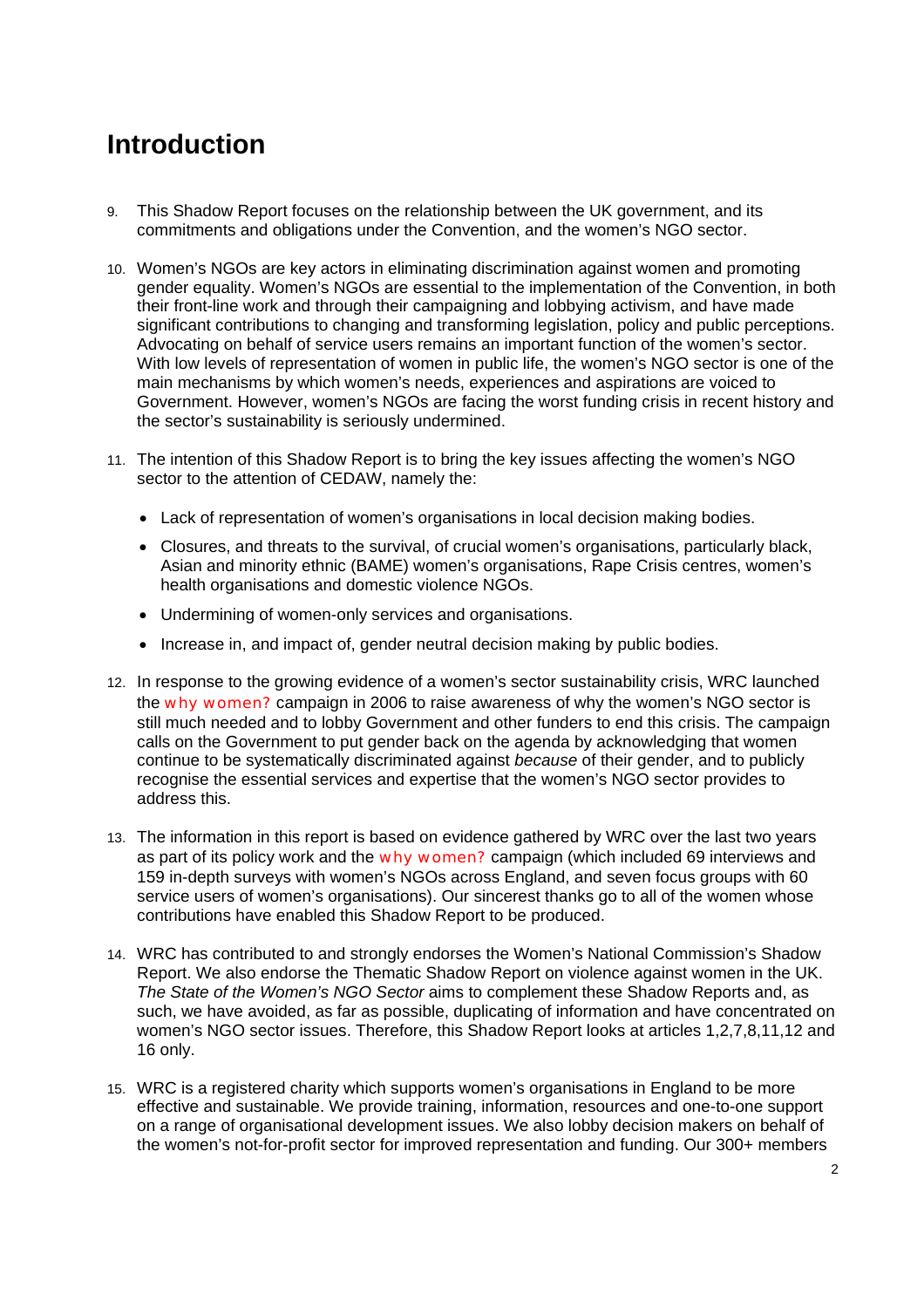## **Introduction**

- 9. This Shadow Report focuses on the relationship between the UK government, and its commitments and obligations under the Convention, and the women's NGO sector.
- 10. Women's NGOs are key actors in eliminating discrimination against women and promoting gender equality. Women's NGOs are essential to the implementation of the Convention, in both their front-line work and through their campaigning and lobbying activism, and have made significant contributions to changing and transforming legislation, policy and public perceptions. Advocating on behalf of service users remains an important function of the women's sector. With low levels of representation of women in public life, the women's NGO sector is one of the main mechanisms by which women's needs, experiences and aspirations are voiced to Government. However, women's NGOs are facing the worst funding crisis in recent history and the sector's sustainability is seriously undermined.
- 11. The intention of this Shadow Report is to bring the key issues affecting the women's NGO sector to the attention of CEDAW, namely the:
	- Lack of representation of women's organisations in local decision making bodies.
	- Closures, and threats to the survival, of crucial women's organisations, particularly black, Asian and minority ethnic (BAME) women's organisations, Rape Crisis centres, women's health organisations and domestic violence NGOs.
	- Undermining of women-only services and organisations.
	- Increase in, and impact of, gender neutral decision making by public bodies.
- 12. In response to the growing evidence of a women's sector sustainability crisis, WRC launched the why women? campaign in 2006 to raise awareness of why the women's NGO sector is still much needed and to lobby Government and other funders to end this crisis. The campaign calls on the Government to put gender back on the agenda by acknowledging that women continue to be systematically discriminated against *because* of their gender, and to publicly recognise the essential services and expertise that the women's NGO sector provides to address this.
- 13. The information in this report is based on evidence gathered by WRC over the last two years as part of its policy work and the why women? campaign (which included 69 interviews and 159 in-depth surveys with women's NGOs across England, and seven focus groups with 60 service users of women's organisations). Our sincerest thanks go to all of the women whose contributions have enabled this Shadow Report to be produced.
- 14. WRC has contributed to and strongly endorses the Women's National Commission's Shadow Report. We also endorse the Thematic Shadow Report on violence against women in the UK. *The State of the Women's NGO Sector* aims to complement these Shadow Reports and, as such, we have avoided, as far as possible, duplicating of information and have concentrated on women's NGO sector issues. Therefore, this Shadow Report looks at articles 1,2,7,8,11,12 and 16 only.
- 15. WRC is a registered charity which supports women's organisations in England to be more effective and sustainable. We provide training, information, resources and one-to-one support on a range of organisational development issues. We also lobby decision makers on behalf of the women's not-for-profit sector for improved representation and funding. Our 300+ members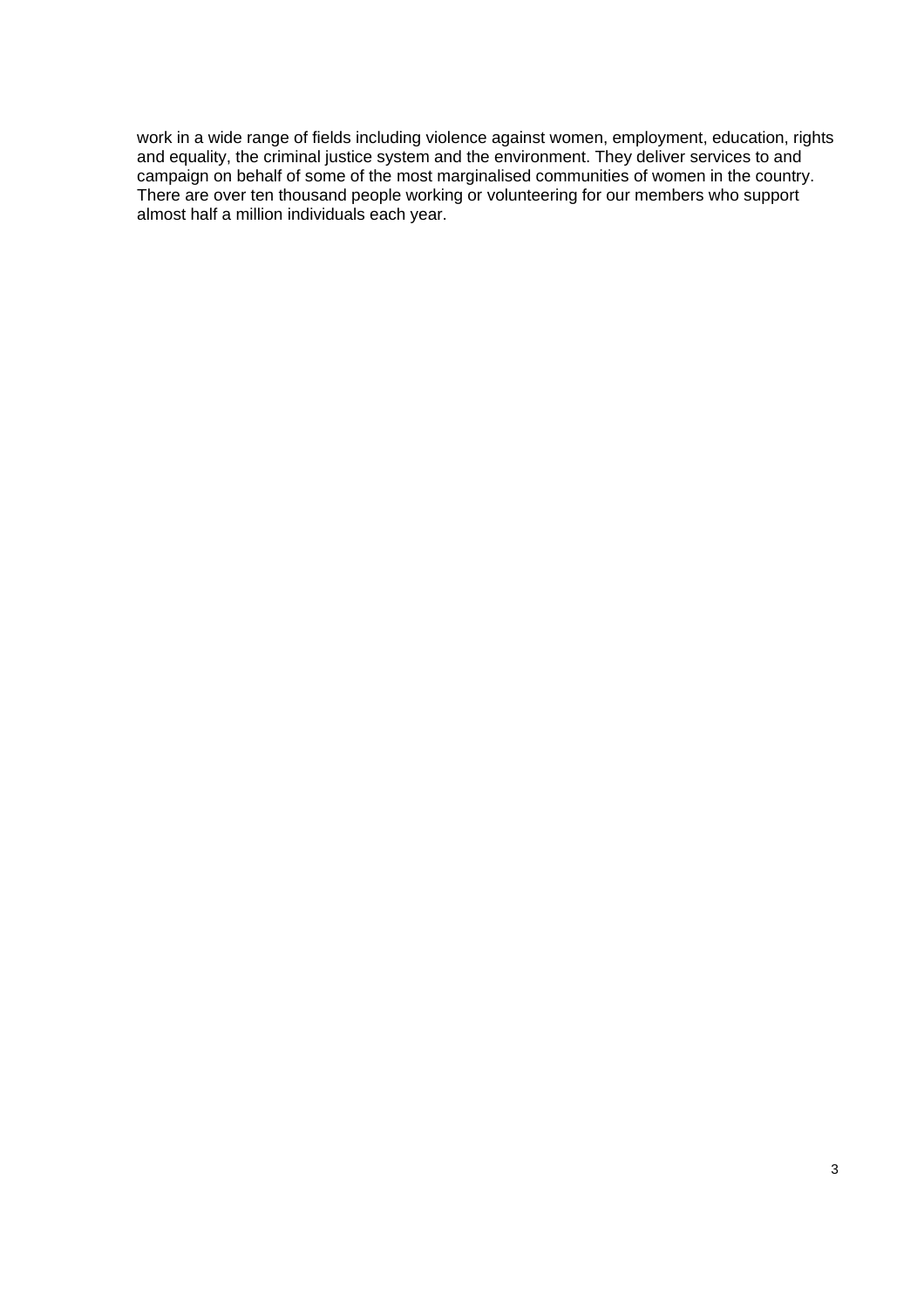work in a wide range of fields including violence against women, employment, education, rights and equality, the criminal justice system and the environment. They deliver services to and  $\frac{1}{2}$ campaign on behalf of some of the most marginalised communities of women in the country. There are over ten thousand people working or volunteering for our members who support almost half a million individuals each year.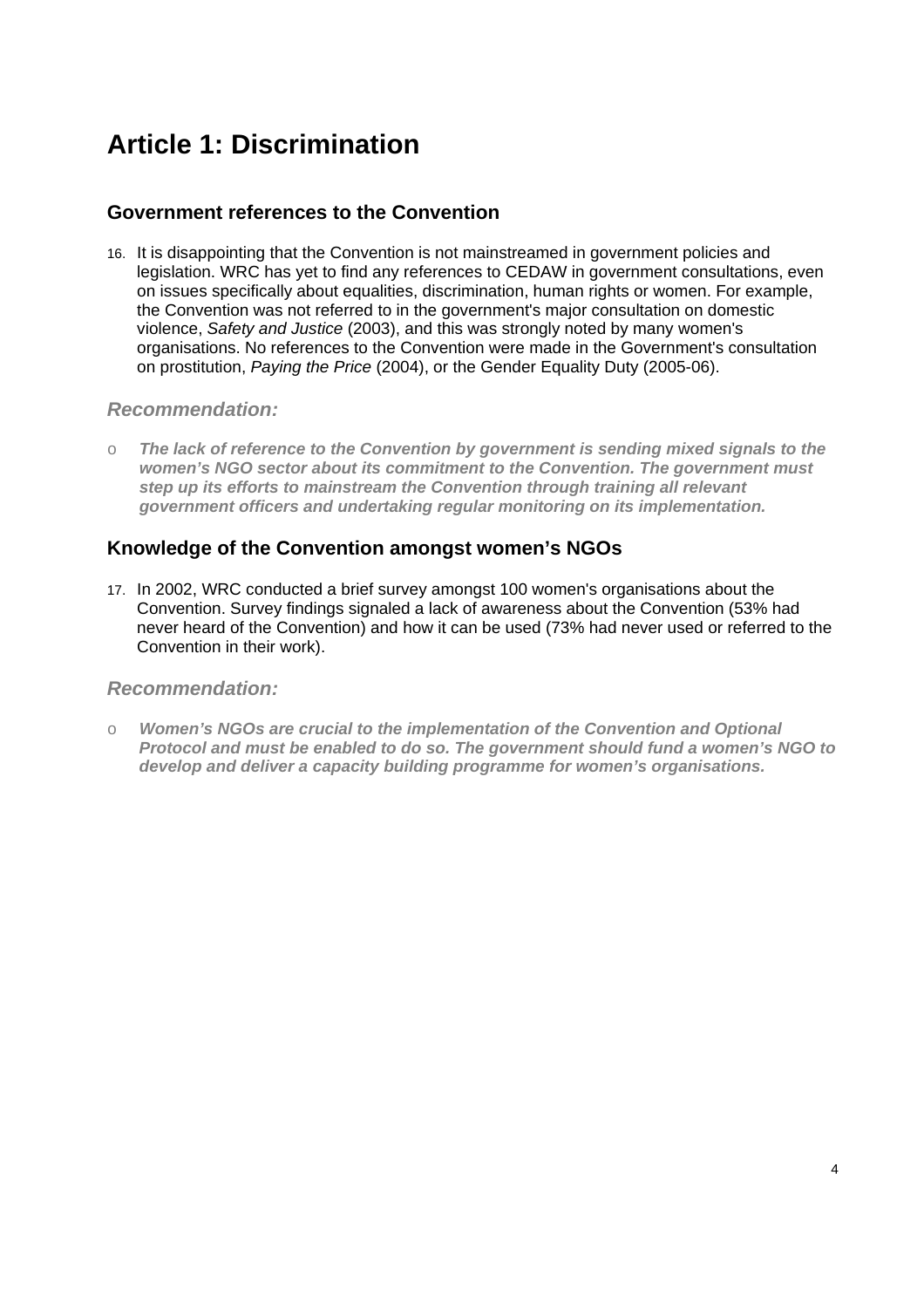## **Article 1: Discrimination**

## **Government references to the Convention**

16. It is disappointing that the Convention is not mainstreamed in government policies and legislation. WRC has yet to find any references to CEDAW in government consultations, even on issues specifically about equalities, discrimination, human rights or women. For example, the Convention was not referred to in the government's major consultation on domestic violence, *Safety and Justice* (2003), and this was strongly noted by many women's organisations. No references to the Convention were made in the Government's consultation on prostitution, *Paying the Price* (2004), or the Gender Equality Duty (2005-06).

### *Recommendation:*

o *The lack of reference to the Convention by government is sending mixed signals to the women's NGO sector about its commitment to the Convention. The government must step up its efforts to mainstream the Convention through training all relevant government officers and undertaking regular monitoring on its implementation.* 

## **Knowledge of the Convention amongst women's NGOs**

17. In 2002, WRC conducted a brief survey amongst 100 women's organisations about the Convention. Survey findings signaled a lack of awareness about the Convention (53% had never heard of the Convention) and how it can be used (73% had never used or referred to the Convention in their work).

### *Recommendation:*

o *Women's NGOs are crucial to the implementation of the Convention and Optional Protocol and must be enabled to do so. The government should fund a women's NGO to develop and deliver a capacity building programme for women's organisations.*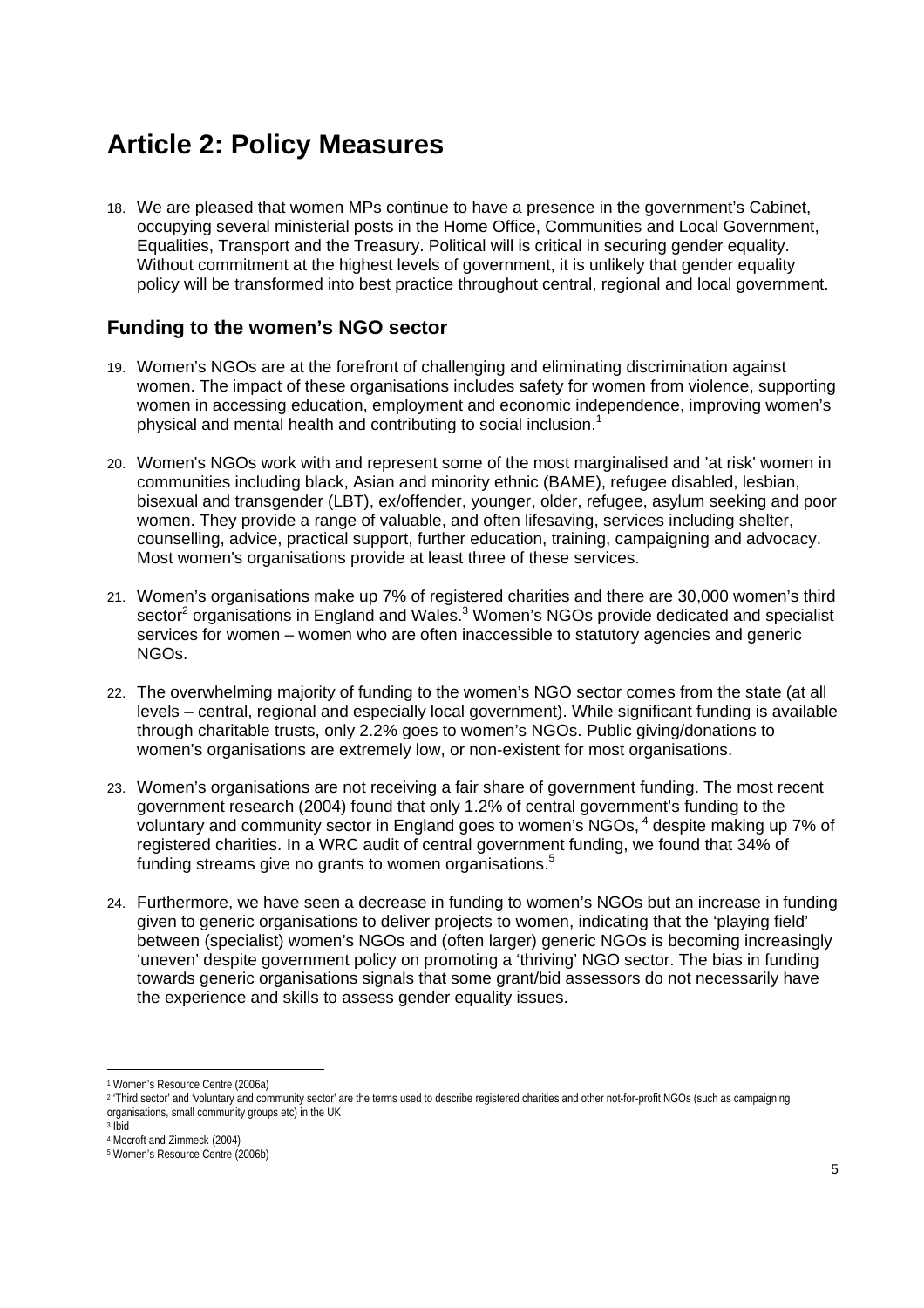## **Article 2: Policy Measures**

18. We are pleased that women MPs continue to have a presence in the government's Cabinet, occupying several ministerial posts in the Home Office, Communities and Local Government, Equalities, Transport and the Treasury. Political will is critical in securing gender equality. Without commitment at the highest levels of government, it is unlikely that gender equality policy will be transformed into best practice throughout central, regional and local government.

## **Funding to the women's NGO sector**

- 19. Women's NGOs are at the forefront of challenging and eliminating discrimination against women. The impact of these organisations includes safety for women from violence, supporting women in accessing education, employment and economic independence, improving women's physical and mental health and contributing to social inclusion.<sup>1</sup>
- 20. Women's NGOs work with and represent some of the most marginalised and 'at risk' women in communities including black, Asian and minority ethnic (BAME), refugee disabled, lesbian, bisexual and transgender (LBT), ex/offender, younger, older, refugee, asylum seeking and poor women. They provide a range of valuable, and often lifesaving, services including shelter, counselling, advice, practical support, further education, training, campaigning and advocacy. Most women's organisations provide at least three of these services.
- 21. Women's organisations make up 7% of registered charities and there are 30,000 women's third sector<sup>2</sup> organisations in England and Wales.<sup>3</sup> Women's NGOs provide dedicated and specialist services for women – women who are often inaccessible to statutory agencies and generic NGOs.
- 22. The overwhelming majority of funding to the women's NGO sector comes from the state (at all levels – central, regional and especially local government). While significant funding is available through charitable trusts, only 2.2% goes to women's NGOs. Public giving/donations to women's organisations are extremely low, or non-existent for most organisations.
- 23. Women's organisations are not receiving a fair share of government funding. The most recent government research (2004) found that only 1.2% of central government's funding to the voluntary and community sector in England goes to women's NGOs, <sup>4</sup> despite making up 7% of registered charities. In a WRC audit of central government funding, we found that 34% of funding streams give no grants to women organisations.<sup>5</sup>
- 24. Furthermore, we have seen a decrease in funding to women's NGOs but an increase in funding given to generic organisations to deliver projects to women, indicating that the 'playing field' between (specialist) women's NGOs and (often larger) generic NGOs is becoming increasingly 'uneven' despite government policy on promoting a 'thriving' NGO sector. The bias in funding towards generic organisations signals that some grant/bid assessors do not necessarily have the experience and skills to assess gender equality issues.

 1 Women's Resource Centre (2006a)

<sup>&</sup>lt;sup>2</sup> 'Third sector' and 'voluntary and community sector' are the terms used to describe registered charities and other not-for-profit NGOs (such as campaigning organisations, small community groups etc) in the UK

 $3$  Ibid

<sup>4</sup> Mocroft and Zimmeck (2004)

<sup>5</sup> Women's Resource Centre (2006b)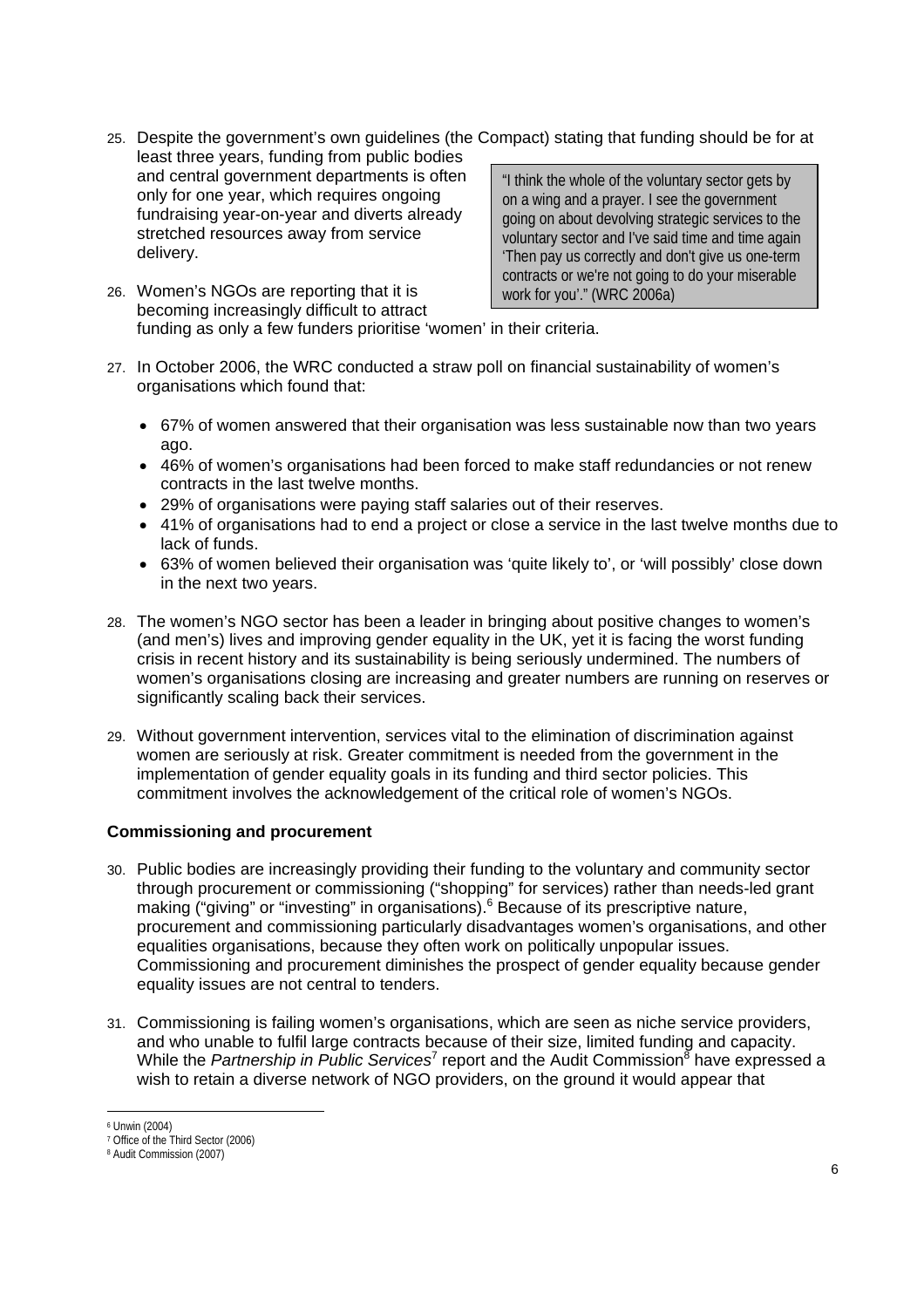- 25. Despite the government's own guidelines (the Compact) stating that funding should be for at least three years, funding from public bodies
- and central government departments is often only for one year, which requires ongoing fundraising year-on-year and diverts already stretched resources away from service delivery.

"I think the whole of the voluntary sector gets by on a wing and a prayer. I see the government going on about devolving strategic services to the voluntary sector and I've said time and time again 'Then pay us correctly and don't give us one-term contracts or we're not going to do your miserable work for you'." (WRC 2006a)

- 26. Women's NGOs are reporting that it is becoming increasingly difficult to attract funding as only a few funders prioritise 'women' in their criteria.
- 27. In October 2006, the WRC conducted a straw poll on financial sustainability of women's organisations which found that:
	- 67% of women answered that their organisation was less sustainable now than two years ago.
	- 46% of women's organisations had been forced to make staff redundancies or not renew contracts in the last twelve months.
	- 29% of organisations were paying staff salaries out of their reserves.
	- 41% of organisations had to end a project or close a service in the last twelve months due to lack of funds.
	- 63% of women believed their organisation was 'quite likely to', or 'will possibly' close down in the next two years.
- 28. The women's NGO sector has been a leader in bringing about positive changes to women's (and men's) lives and improving gender equality in the UK, yet it is facing the worst funding crisis in recent history and its sustainability is being seriously undermined. The numbers of women's organisations closing are increasing and greater numbers are running on reserves or significantly scaling back their services.
- 29. Without government intervention, services vital to the elimination of discrimination against women are seriously at risk. Greater commitment is needed from the government in the implementation of gender equality goals in its funding and third sector policies. This commitment involves the acknowledgement of the critical role of women's NGOs.

### **Commissioning and procurement**

- 30. Public bodies are increasingly providing their funding to the voluntary and community sector through procurement or commissioning ("shopping" for services) rather than needs-led grant making ("giving" or "investing" in organisations).<sup>6</sup> Because of its prescriptive nature, procurement and commissioning particularly disadvantages women's organisations, and other equalities organisations, because they often work on politically unpopular issues. Commissioning and procurement diminishes the prospect of gender equality because gender equality issues are not central to tenders.
- 31. Commissioning is failing women's organisations, which are seen as niche service providers, and who unable to fulfil large contracts because of their size, limited funding and capacity. While the *Partnership in Public Services*<sup>7</sup> report and the Audit Commission<sup>8</sup> have expressed a wish to retain a diverse network of NGO providers, on the ground it would appear that

 6 Unwin (2004)

<sup>7</sup> Office of the Third Sector (2006)

<sup>8</sup> Audit Commission (2007)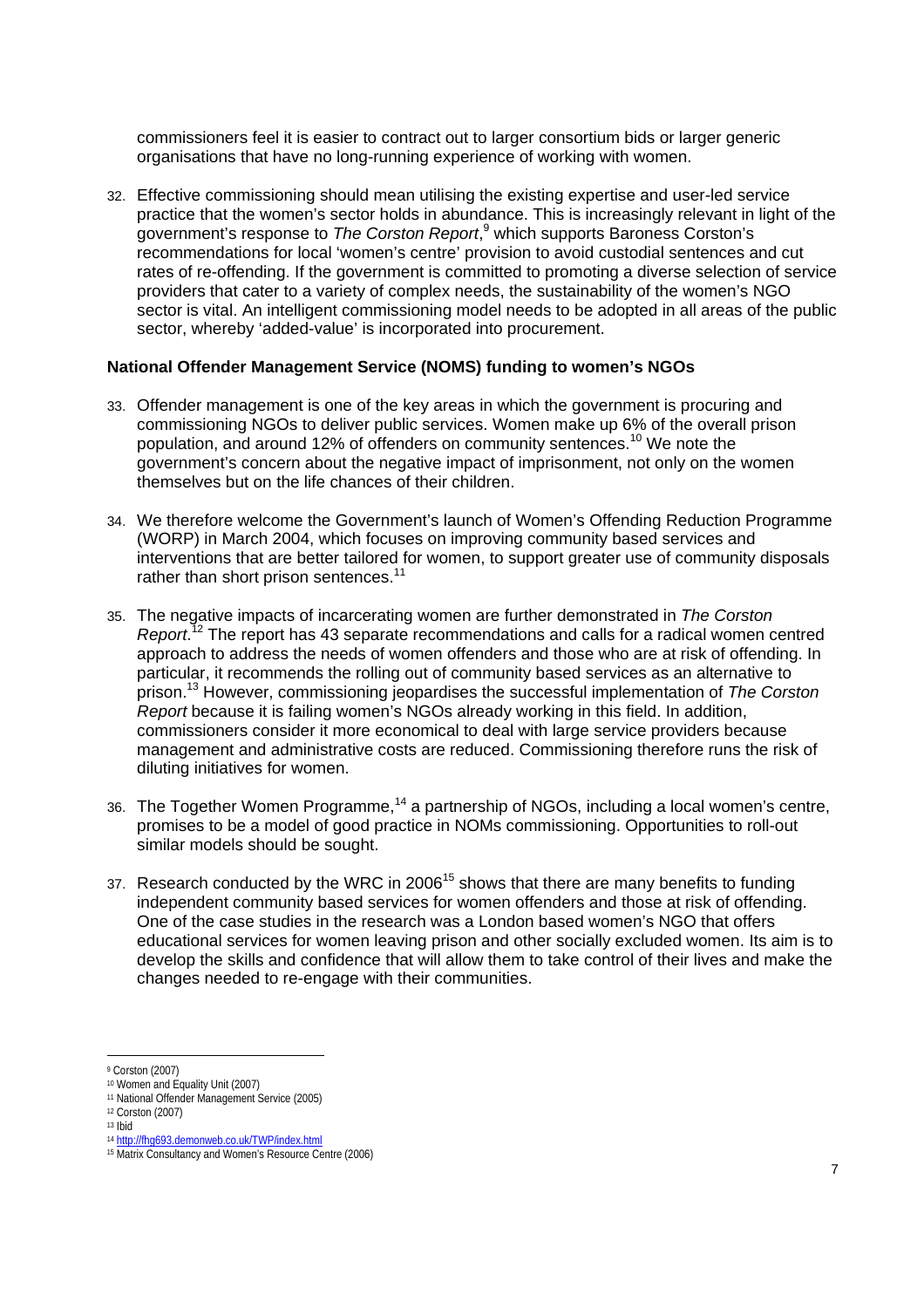commissioners feel it is easier to contract out to larger consortium bids or larger generic organisations that have no long-running experience of working with women.

32. Effective commissioning should mean utilising the existing expertise and user-led service practice that the women's sector holds in abundance. This is increasingly relevant in light of the .<br>government's response to *The Corston Report*,<sup>9</sup> which supports Baroness Corston's recommendations for local 'women's centre' provision to avoid custodial sentences and cut rates of re-offending. If the government is committed to promoting a diverse selection of service providers that cater to a variety of complex needs, the sustainability of the women's NGO sector is vital. An intelligent commissioning model needs to be adopted in all areas of the public sector, whereby 'added-value' is incorporated into procurement.

#### **National Offender Management Service (NOMS) funding to women's NGOs**

- 33. Offender management is one of the key areas in which the government is procuring and commissioning NGOs to deliver public services. Women make up 6% of the overall prison population, and around 12% of offenders on community sentences.<sup>10</sup> We note the government's concern about the negative impact of imprisonment, not only on the women themselves but on the life chances of their children.
- 34. We therefore welcome the Government's launch of Women's Offending Reduction Programme (WORP) in March 2004, which focuses on improving community based services and interventions that are better tailored for women, to support greater use of community disposals rather than short prison sentences.<sup>11</sup>
- 35. The negative impacts of incarcerating women are further demonstrated in *The Corston Report*. 12 The report has 43 separate recommendations and calls for a radical women centred approach to address the needs of women offenders and those who are at risk of offending. In particular, it recommends the rolling out of community based services as an alternative to prison.13 However, commissioning jeopardises the successful implementation of *The Corston Report* because it is failing women's NGOs already working in this field. In addition, commissioners consider it more economical to deal with large service providers because management and administrative costs are reduced. Commissioning therefore runs the risk of diluting initiatives for women.
- 36. The Together Women Programme,<sup>14</sup> a partnership of NGOs, including a local women's centre, promises to be a model of good practice in NOMs commissioning. Opportunities to roll-out similar models should be sought.
- 37. Research conducted by the WRC in 2006<sup>15</sup> shows that there are many benefits to funding independent community based services for women offenders and those at risk of offending. One of the case studies in the research was a London based women's NGO that offers educational services for women leaving prison and other socially excluded women. Its aim is to develop the skills and confidence that will allow them to take control of their lives and make the changes needed to re-engage with their communities.

l 9 Corston (2007)

<sup>10</sup> Women and Equality Unit (2007)

<sup>11</sup> National Offender Management Service (2005)

<sup>12</sup> Corston (2007)

<sup>&</sup>lt;sup>13</sup> Ibid<br><sup>14</sup> http://fhq693.demonweb.co.uk/TWP/index.html

<sup>&</sup>lt;sup>15</sup> Matrix Consultancy and Women's Resource Centre (2006)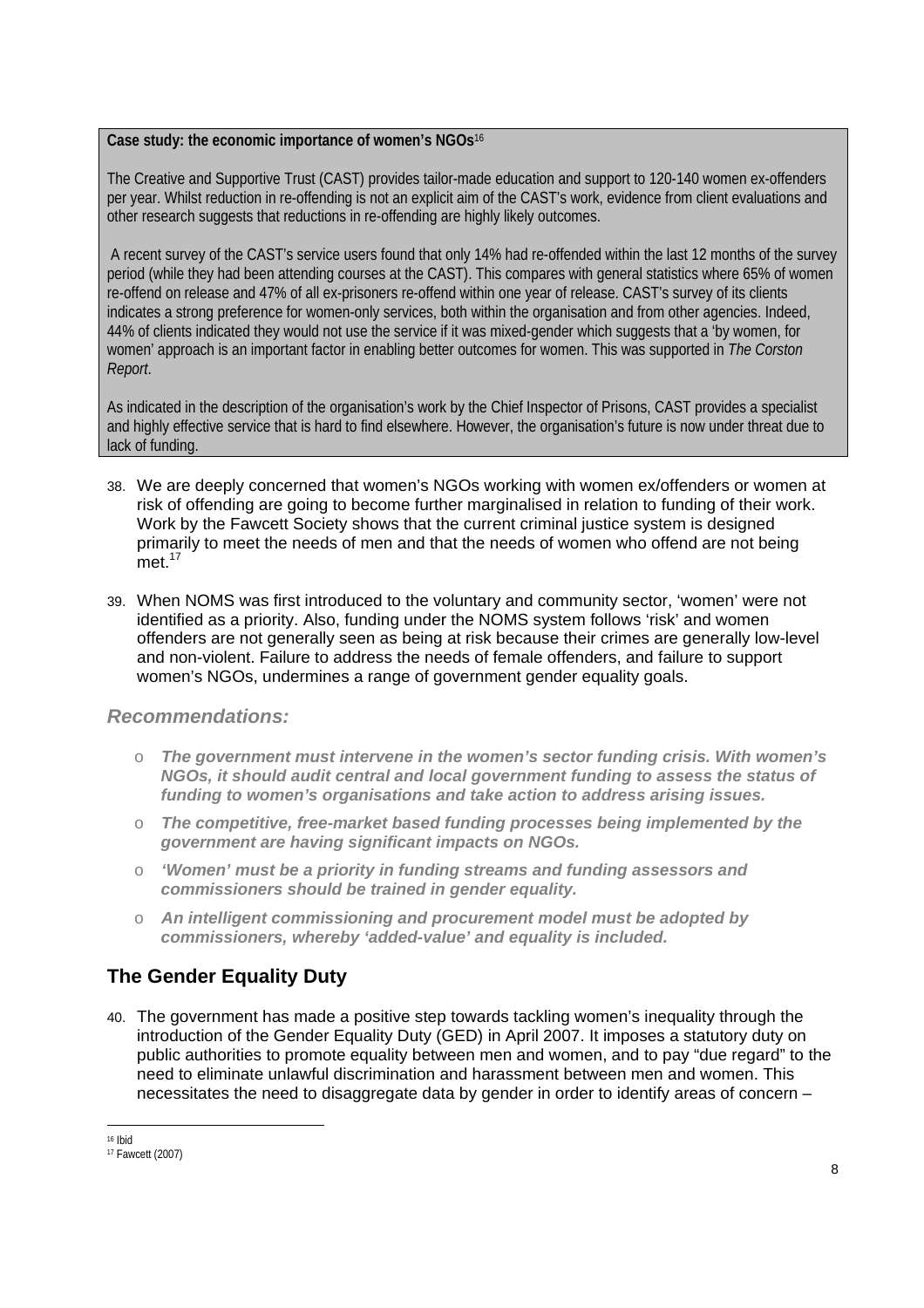#### **Case study: the economic importance of women's NGOs**<sup>16</sup>

The Creative and Supportive Trust (CAST) provides tailor-made education and support to 120-140 women ex-offenders per year. Whilst reduction in re-offending is not an explicit aim of the CAST's work, evidence from client evaluations and other research suggests that reductions in re-offending are highly likely outcomes.

 A recent survey of the CAST's service users found that only 14% had re-offended within the last 12 months of the survey period (while they had been attending courses at the CAST). This compares with general statistics where 65% of women re-offend on release and 47% of all ex-prisoners re-offend within one year of release. CAST's survey of its clients indicates a strong preference for women-only services, both within the organisation and from other agencies. Indeed, 44% of clients indicated they would not use the service if it was mixed-gender which suggests that a 'by women, for women' approach is an important factor in enabling better outcomes for women. This was supported in *The Corston Report*.

As indicated in the description of the organisation's work by the Chief Inspector of Prisons, CAST provides a specialist and highly effective service that is hard to find elsewhere. However, the organisation's future is now under threat due to lack of funding.

- 38. We are deeply concerned that women's NGOs working with women ex/offenders or women at risk of offending are going to become further marginalised in relation to funding of their work. Work by the Fawcett Society shows that the current criminal justice system is designed primarily to meet the needs of men and that the needs of women who offend are not being  $me<sub>17</sub>$
- 39. When NOMS was first introduced to the voluntary and community sector, 'women' were not identified as a priority. Also, funding under the NOMS system follows 'risk' and women offenders are not generally seen as being at risk because their crimes are generally low-level and non-violent. Failure to address the needs of female offenders, and failure to support women's NGOs, undermines a range of government gender equality goals.

## *Recommendations:*

- o *The government must intervene in the women's sector funding crisis. With women's NGOs, it should audit central and local government funding to assess the status of funding to women's organisations and take action to address arising issues.*
- o *The competitive, free-market based funding processes being implemented by the government are having significant impacts on NGOs.*
- o *'Women' must be a priority in funding streams and funding assessors and commissioners should be trained in gender equality.*
- o *An intelligent commissioning and procurement model must be adopted by commissioners, whereby 'added-value' and equality is included.*

## **The Gender Equality Duty**

40. The government has made a positive step towards tackling women's inequality through the introduction of the Gender Equality Duty (GED) in April 2007. It imposes a statutory duty on public authorities to promote equality between men and women, and to pay "due regard" to the need to eliminate unlawful discrimination and harassment between men and women. This necessitates the need to disaggregate data by gender in order to identify areas of concern –

 $\overline{a}$ 16 Ibid

<sup>17</sup> Fawcett (2007)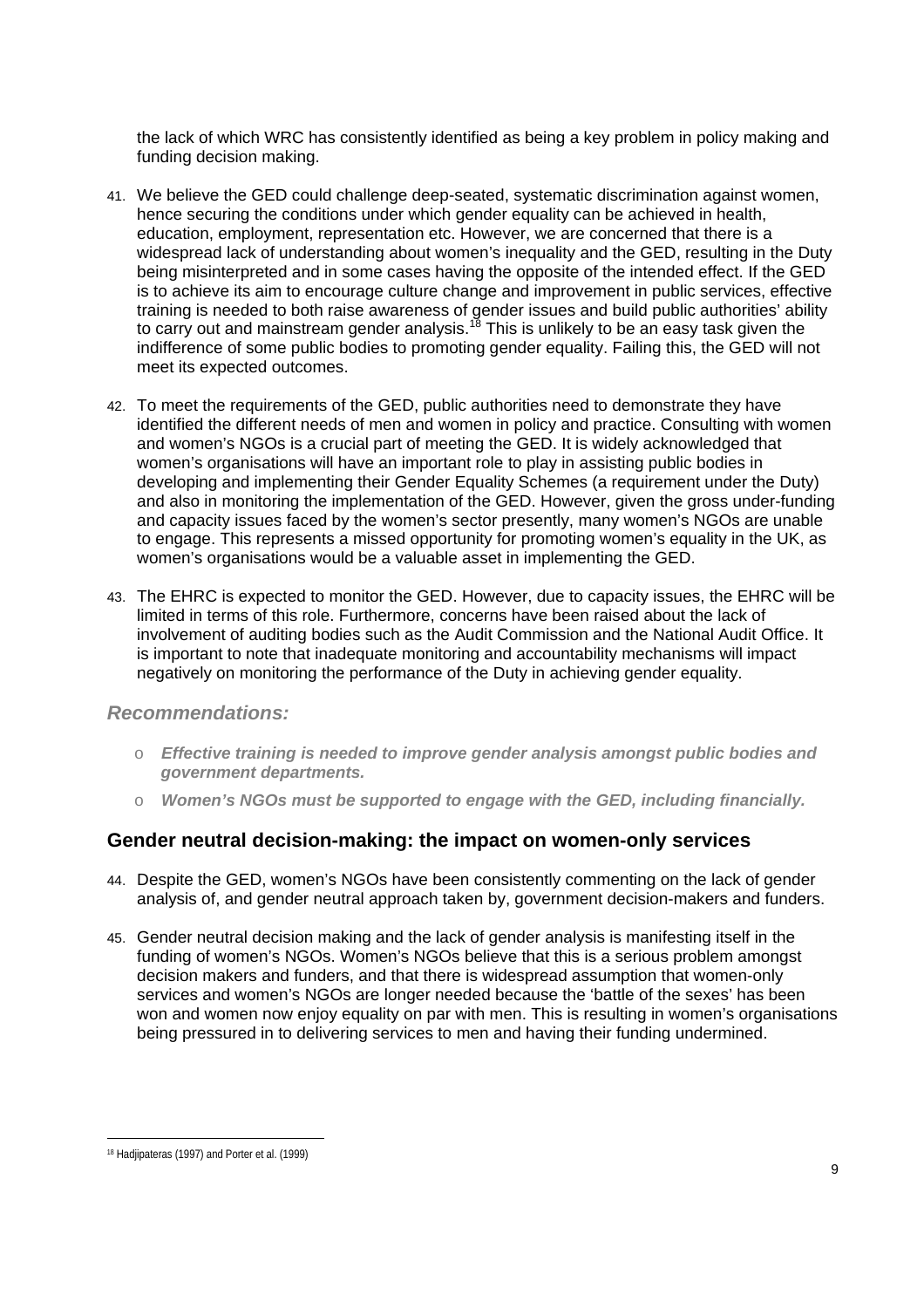the lack of which WRC has consistently identified as being a key problem in policy making and funding decision making.

- 41. We believe the GED could challenge deep-seated, systematic discrimination against women, hence securing the conditions under which gender equality can be achieved in health, education, employment, representation etc. However, we are concerned that there is a widespread lack of understanding about women's inequality and the GED, resulting in the Duty being misinterpreted and in some cases having the opposite of the intended effect. If the GED is to achieve its aim to encourage culture change and improvement in public services, effective training is needed to both raise awareness of gender issues and build public authorities' ability to carry out and mainstream gender analysis.<sup>18</sup> This is unlikely to be an easy task given the indifference of some public bodies to promoting gender equality. Failing this, the GED will not meet its expected outcomes.
- 42. To meet the requirements of the GED, public authorities need to demonstrate they have identified the different needs of men and women in policy and practice. Consulting with women and women's NGOs is a crucial part of meeting the GED. It is widely acknowledged that women's organisations will have an important role to play in assisting public bodies in developing and implementing their Gender Equality Schemes (a requirement under the Duty) and also in monitoring the implementation of the GED. However, given the gross under-funding and capacity issues faced by the women's sector presently, many women's NGOs are unable to engage. This represents a missed opportunity for promoting women's equality in the UK, as women's organisations would be a valuable asset in implementing the GED.
- 43. The EHRC is expected to monitor the GED. However, due to capacity issues, the EHRC will be limited in terms of this role. Furthermore, concerns have been raised about the lack of involvement of auditing bodies such as the Audit Commission and the National Audit Office. It is important to note that inadequate monitoring and accountability mechanisms will impact negatively on monitoring the performance of the Duty in achieving gender equality.

#### *Recommendations:*

- o *Effective training is needed to improve gender analysis amongst public bodies and government departments.*
- o *Women's NGOs must be supported to engage with the GED, including financially.*

## **Gender neutral decision-making: the impact on women-only services**

- 44. Despite the GED, women's NGOs have been consistently commenting on the lack of gender analysis of, and gender neutral approach taken by, government decision-makers and funders.
- 45. Gender neutral decision making and the lack of gender analysis is manifesting itself in the funding of women's NGOs. Women's NGOs believe that this is a serious problem amongst decision makers and funders, and that there is widespread assumption that women-only services and women's NGOs are longer needed because the 'battle of the sexes' has been won and women now enjoy equality on par with men. This is resulting in women's organisations being pressured in to delivering services to men and having their funding undermined.

 18 Hadjipateras (1997) and Porter et al. (1999)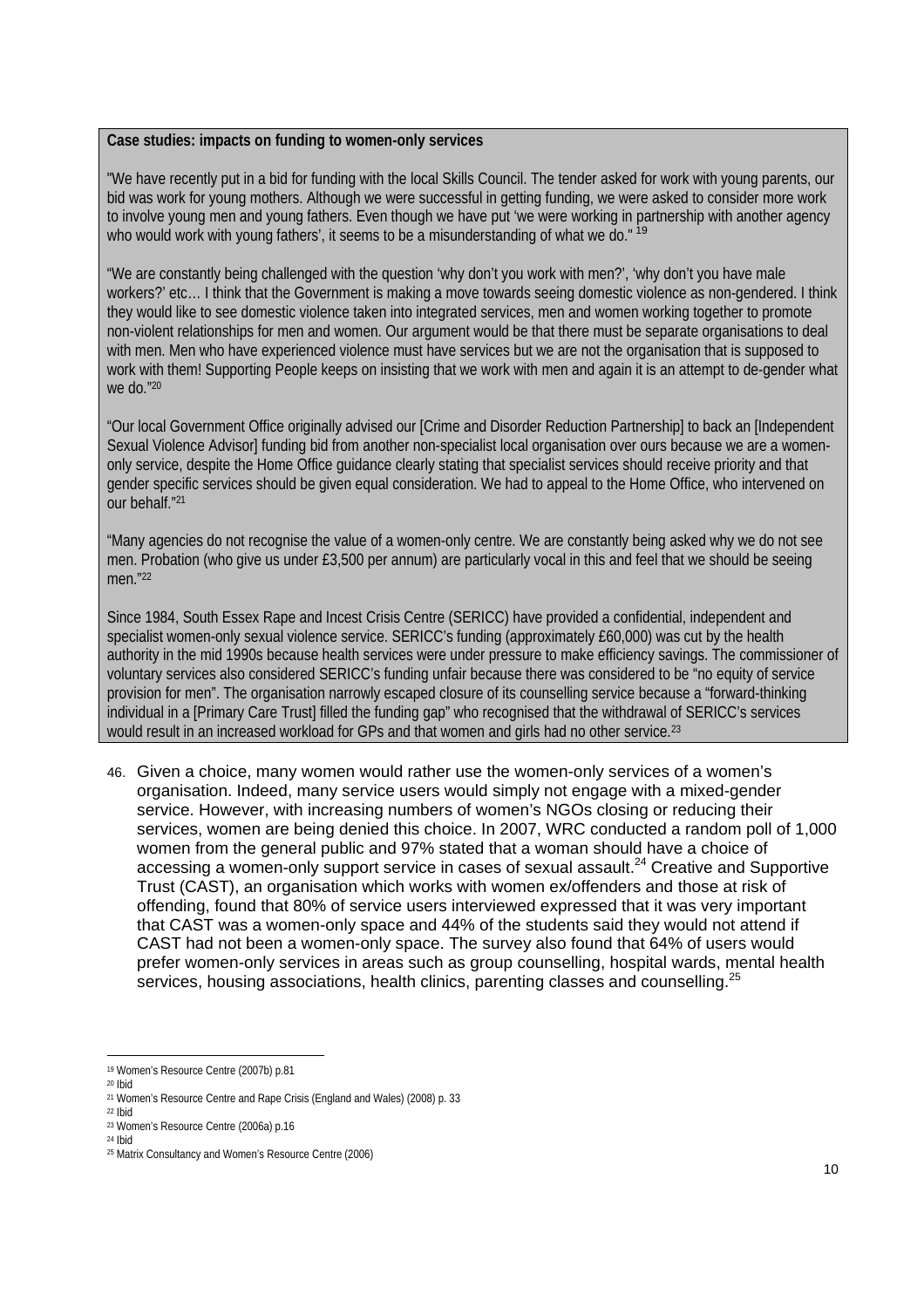#### **Case studies: impacts on funding to women-only services**

"We have recently put in a bid for funding with the local Skills Council. The tender asked for work with young parents, our bid was work for young mothers. Although we were successful in getting funding, we were asked to consider more work to involve young men and young fathers. Even though we have put 'we were working in partnership with another agency who would work with young fathers', it seems to be a misunderstanding of what we do." 19

"We are constantly being challenged with the question 'why don't you work with men?', 'why don't you have male workers?' etc… I think that the Government is making a move towards seeing domestic violence as non-gendered. I think they would like to see domestic violence taken into integrated services, men and women working together to promote non-violent relationships for men and women. Our argument would be that there must be separate organisations to deal with men. Men who have experienced violence must have services but we are not the organisation that is supposed to work with them! Supporting People keeps on insisting that we work with men and again it is an attempt to de-gender what we do."20

"Our local Government Office originally advised our [Crime and Disorder Reduction Partnership] to back an [Independent Sexual Violence Advisor] funding bid from another non-specialist local organisation over ours because we are a womenonly service, despite the Home Office guidance clearly stating that specialist services should receive priority and that gender specific services should be given equal consideration. We had to appeal to the Home Office, who intervened on our behalf."21

"Many agencies do not recognise the value of a women-only centre. We are constantly being asked why we do not see men. Probation (who give us under £3,500 per annum) are particularly vocal in this and feel that we should be seeing men."22

Since 1984, South Essex Rape and Incest Crisis Centre (SERICC) have provided a confidential, independent and specialist women-only sexual violence service. SERICC's funding (approximately £60,000) was cut by the health authority in the mid 1990s because health services were under pressure to make efficiency savings. The commissioner of voluntary services also considered SERICC's funding unfair because there was considered to be "no equity of service provision for men". The organisation narrowly escaped closure of its counselling service because a "forward-thinking individual in a [Primary Care Trust] filled the funding gap" who recognised that the withdrawal of SERICC's services would result in an increased workload for GPs and that women and girls had no other service.<sup>23</sup>

46. Given a choice, many women would rather use the women-only services of a women's organisation. Indeed, many service users would simply not engage with a mixed-gender service. However, with increasing numbers of women's NGOs closing or reducing their services, women are being denied this choice. In 2007, WRC conducted a random poll of 1,000 women from the general public and 97% stated that a woman should have a choice of accessing a women-only support service in cases of sexual assault.<sup>24</sup> Creative and Supportive Trust (CAST), an organisation which works with women ex/offenders and those at risk of offending, found that 80% of service users interviewed expressed that it was very important that CAST was a women-only space and 44% of the students said they would not attend if CAST had not been a women-only space. The survey also found that 64% of users would prefer women-only services in areas such as group counselling, hospital wards, mental health services, housing associations, health clinics, parenting classes and counselling.<sup>25</sup>

l

<sup>19</sup> Women's Resource Centre (2007b) p.81

<sup>20</sup> Ibid

<sup>21</sup> Women's Resource Centre and Rape Crisis (England and Wales) (2008) p. 33

<sup>22</sup> Ibid 23 Women's Resource Centre (2006a) p.16

<sup>24</sup> Ibid

<sup>25</sup> Matrix Consultancy and Women's Resource Centre (2006)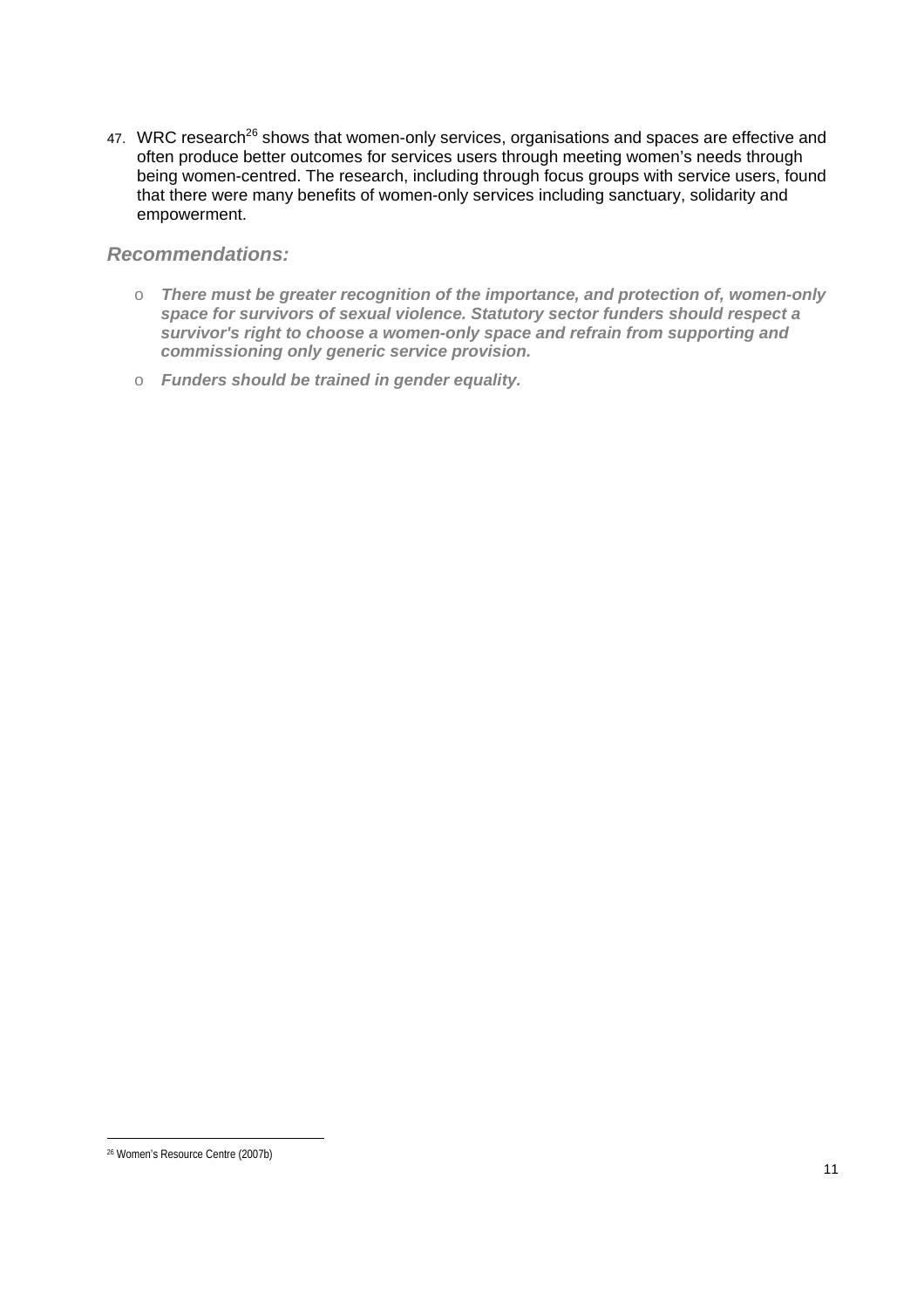47. WRC research<sup>26</sup> shows that women-only services, organisations and spaces are effective and often produce better outcomes for services users through meeting women's needs through being women-centred. The research, including through focus groups with service users, found that there were many benefits of women-only services including sanctuary, solidarity and empowerment.

### *Recommendations:*

- o *There must be greater recognition of the importance, and protection of, women-only space for survivors of sexual violence. Statutory sector funders should respect a survivor's right to choose a women-only space and refrain from supporting and commissioning only generic service provision.*
- o *Funders should be trained in gender equality.*

 26 Women's Resource Centre (2007b)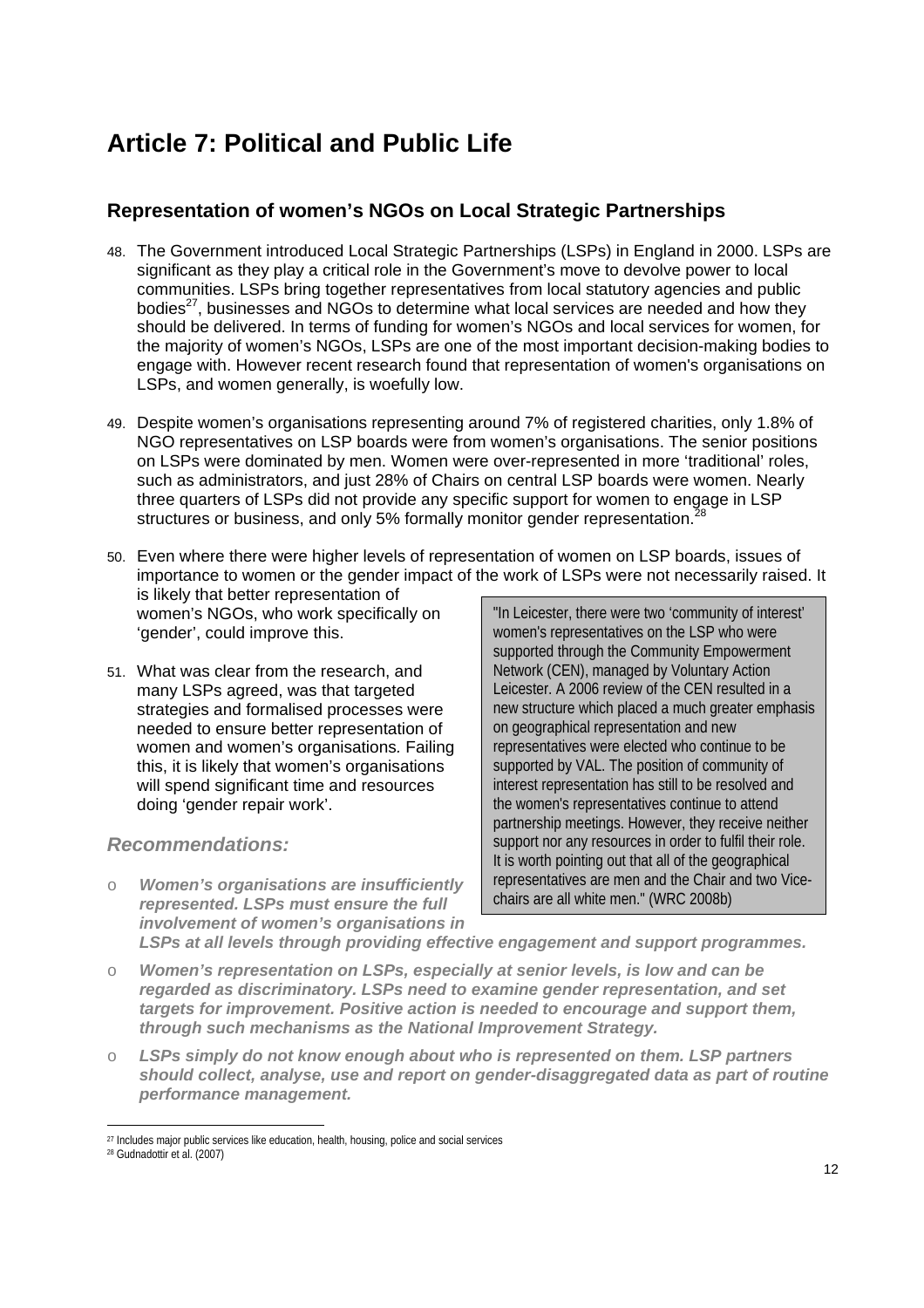## **Article 7: Political and Public Life**

## **Representation of women's NGOs on Local Strategic Partnerships**

- 48. The Government introduced Local Strategic Partnerships (LSPs) in England in 2000. LSPs are significant as they play a critical role in the Government's move to devolve power to local communities. LSPs bring together representatives from local statutory agencies and public bodies $^{27}$ , businesses and NGOs to determine what local services are needed and how they should be delivered. In terms of funding for women's NGOs and local services for women, for the majority of women's NGOs, LSPs are one of the most important decision-making bodies to engage with. However recent research found that representation of women's organisations on LSPs, and women generally, is woefully low.
- 49. Despite women's organisations representing around 7% of registered charities, only 1.8% of NGO representatives on LSP boards were from women's organisations. The senior positions on LSPs were dominated by men. Women were over-represented in more 'traditional' roles, such as administrators, and just 28% of Chairs on central LSP boards were women. Nearly three quarters of LSPs did not provide any specific support for women to engage in LSP structures or business, and only 5% formally monitor gender representation.<sup>2</sup>
- "In Leicester, there were two 'community of interest' women's representatives on the LSP who were 50. Even where there were higher levels of representation of women on LSP boards, issues of importance to women or the gender impact of the work of LSPs were not necessarily raised. It is likely that better representation of women's NGOs, who work specifically on 'gender', could improve this.
- 51. What was clear from the research, and many LSPs agreed, was that targeted strategies and formalised processes were needed to ensure better representation of women and women's organisations*.* Failing this, it is likely that women's organisations will spend significant time and resources doing 'gender repair work'.

## *Recommendations:*

o *Women's organisations are insufficiently represented. LSPs must ensure the full involvement of women's organisations in* 

supported through the Community Empowerment Network (CEN), managed by Voluntary Action Leicester. A 2006 review of the CEN resulted in a new structure which placed a much greater emphasis on geographical representation and new representatives were elected who continue to be supported by VAL. The position of community of interest representation has still to be resolved and the women's representatives continue to attend partnership meetings. However, they receive neither support nor any resources in order to fulfil their role. It is worth pointing out that all of the geographical representatives are men and the Chair and two Vicechairs are all white men." (WRC 2008b)

*LSPs at all levels through providing effective engagement and support programmes.* 

- o *Women's representation on LSPs, especially at senior levels, is low and can be regarded as discriminatory. LSPs need to examine gender representation, and set targets for improvement. Positive action is needed to encourage and support them, through such mechanisms as the National Improvement Strategy.*
- o *LSPs simply do not know enough about who is represented on them. LSP partners should collect, analyse, use and report on gender-disaggregated data as part of routine performance management.*

 $\overline{a}$ <sup>27</sup> Includes major public services like education, health, housing, police and social services

<sup>28</sup> Gudnadottir et al. (2007)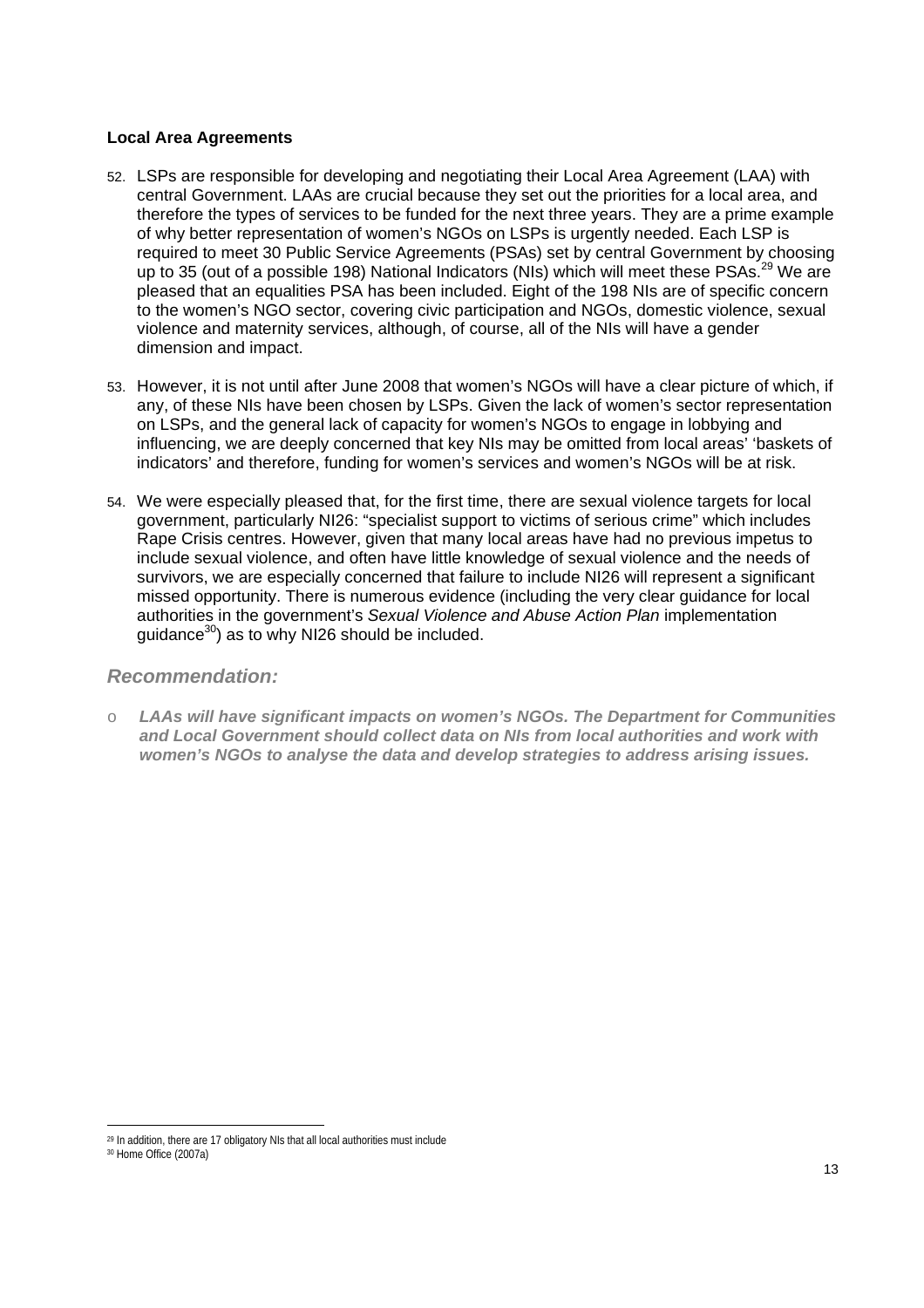### **Local Area Agreements**

- 52. LSPs are responsible for developing and negotiating their Local Area Agreement (LAA) with central Government. LAAs are crucial because they set out the priorities for a local area, and therefore the types of services to be funded for the next three years. They are a prime example of why better representation of women's NGOs on LSPs is urgently needed. Each LSP is required to meet 30 Public Service Agreements (PSAs) set by central Government by choosing up to 35 (out of a possible 198) National Indicators (NIs) which will meet these PSAs.<sup>29</sup> We are pleased that an equalities PSA has been included. Eight of the 198 NIs are of specific concern to the women's NGO sector, covering civic participation and NGOs, domestic violence, sexual violence and maternity services, although, of course, all of the NIs will have a gender dimension and impact.
- 53. However, it is not until after June 2008 that women's NGOs will have a clear picture of which, if any, of these NIs have been chosen by LSPs. Given the lack of women's sector representation on LSPs, and the general lack of capacity for women's NGOs to engage in lobbying and influencing, we are deeply concerned that key NIs may be omitted from local areas' 'baskets of indicators' and therefore, funding for women's services and women's NGOs will be at risk.
- 54. We were especially pleased that, for the first time, there are sexual violence targets for local government, particularly NI26: "specialist support to victims of serious crime" which includes Rape Crisis centres. However, given that many local areas have had no previous impetus to include sexual violence, and often have little knowledge of sexual violence and the needs of survivors, we are especially concerned that failure to include NI26 will represent a significant missed opportunity. There is numerous evidence (including the very clear guidance for local authorities in the government's *Sexual Violence and Abuse Action Plan* implementation guidance $30$ ) as to why NI26 should be included.

### *Recommendation:*

o *LAAs will have significant impacts on women's NGOs. The Department for Communities and Local Government should collect data on NIs from local authorities and work with women's NGOs to analyse the data and develop strategies to address arising issues.* 

 $\overline{a}$ 

<sup>&</sup>lt;sup>29</sup> In addition, there are 17 obligatory NIs that all local authorities must include

<sup>30</sup> Home Office (2007a)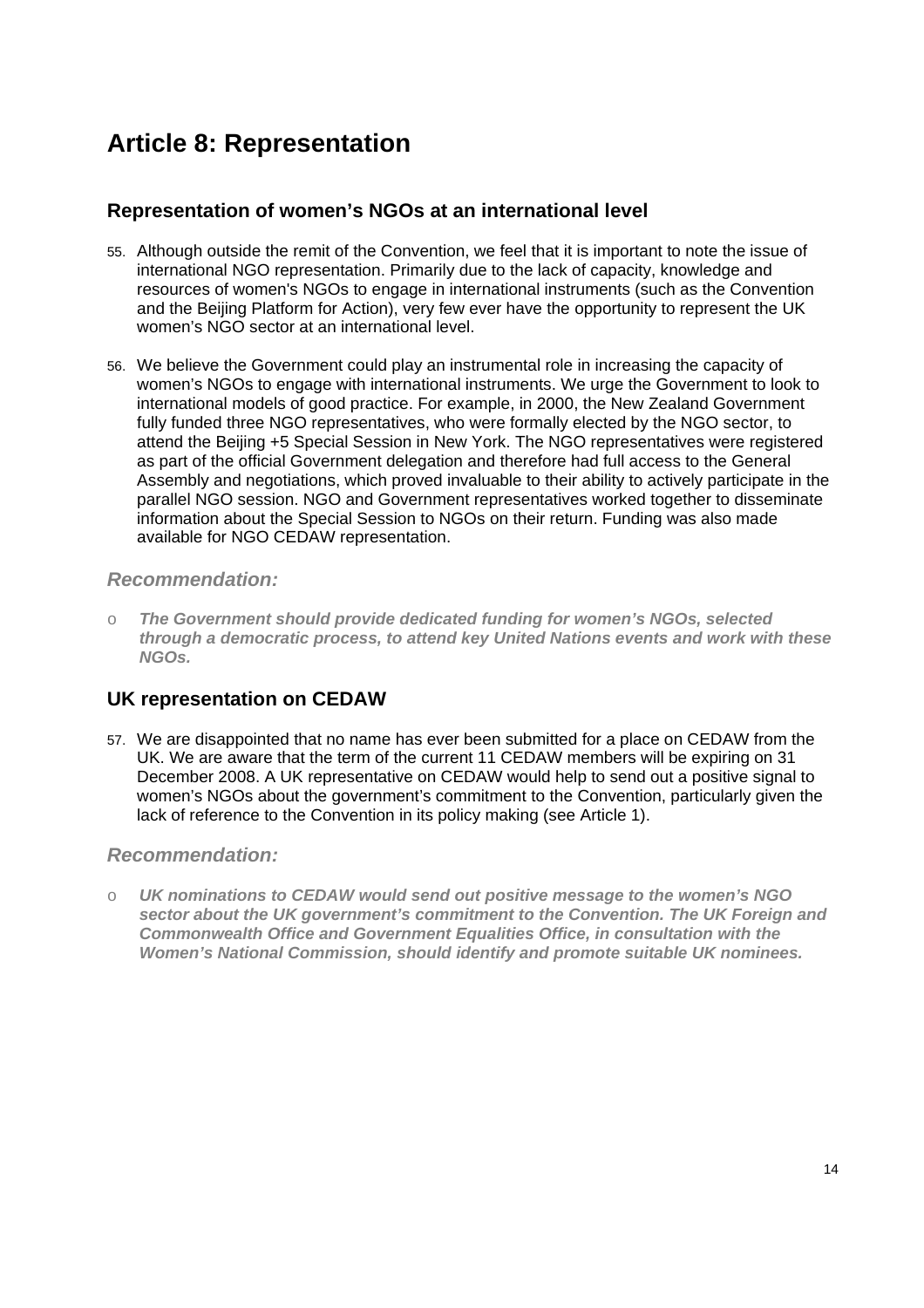## **Article 8: Representation**

## **Representation of women's NGOs at an international level**

- 55. Although outside the remit of the Convention, we feel that it is important to note the issue of international NGO representation. Primarily due to the lack of capacity, knowledge and resources of women's NGOs to engage in international instruments (such as the Convention and the Beijing Platform for Action), very few ever have the opportunity to represent the UK women's NGO sector at an international level.
- 56. We believe the Government could play an instrumental role in increasing the capacity of women's NGOs to engage with international instruments. We urge the Government to look to international models of good practice. For example, in 2000, the New Zealand Government fully funded three NGO representatives, who were formally elected by the NGO sector, to attend the Beijing +5 Special Session in New York. The NGO representatives were registered as part of the official Government delegation and therefore had full access to the General Assembly and negotiations, which proved invaluable to their ability to actively participate in the parallel NGO session. NGO and Government representatives worked together to disseminate information about the Special Session to NGOs on their return. Funding was also made available for NGO CEDAW representation.

## *Recommendation:*

o *The Government should provide dedicated funding for women's NGOs, selected through a democratic process, to attend key United Nations events and work with these NGOs.* 

## **UK representation on CEDAW**

57. We are disappointed that no name has ever been submitted for a place on CEDAW from the UK. We are aware that the term of the current 11 CEDAW members will be expiring on 31 December 2008. A UK representative on CEDAW would help to send out a positive signal to women's NGOs about the government's commitment to the Convention, particularly given the lack of reference to the Convention in its policy making (see Article 1).

## *Recommendation:*

o *UK nominations to CEDAW would send out positive message to the women's NGO sector about the UK government's commitment to the Convention. The UK Foreign and Commonwealth Office and Government Equalities Office, in consultation with the Women's National Commission, should identify and promote suitable UK nominees.*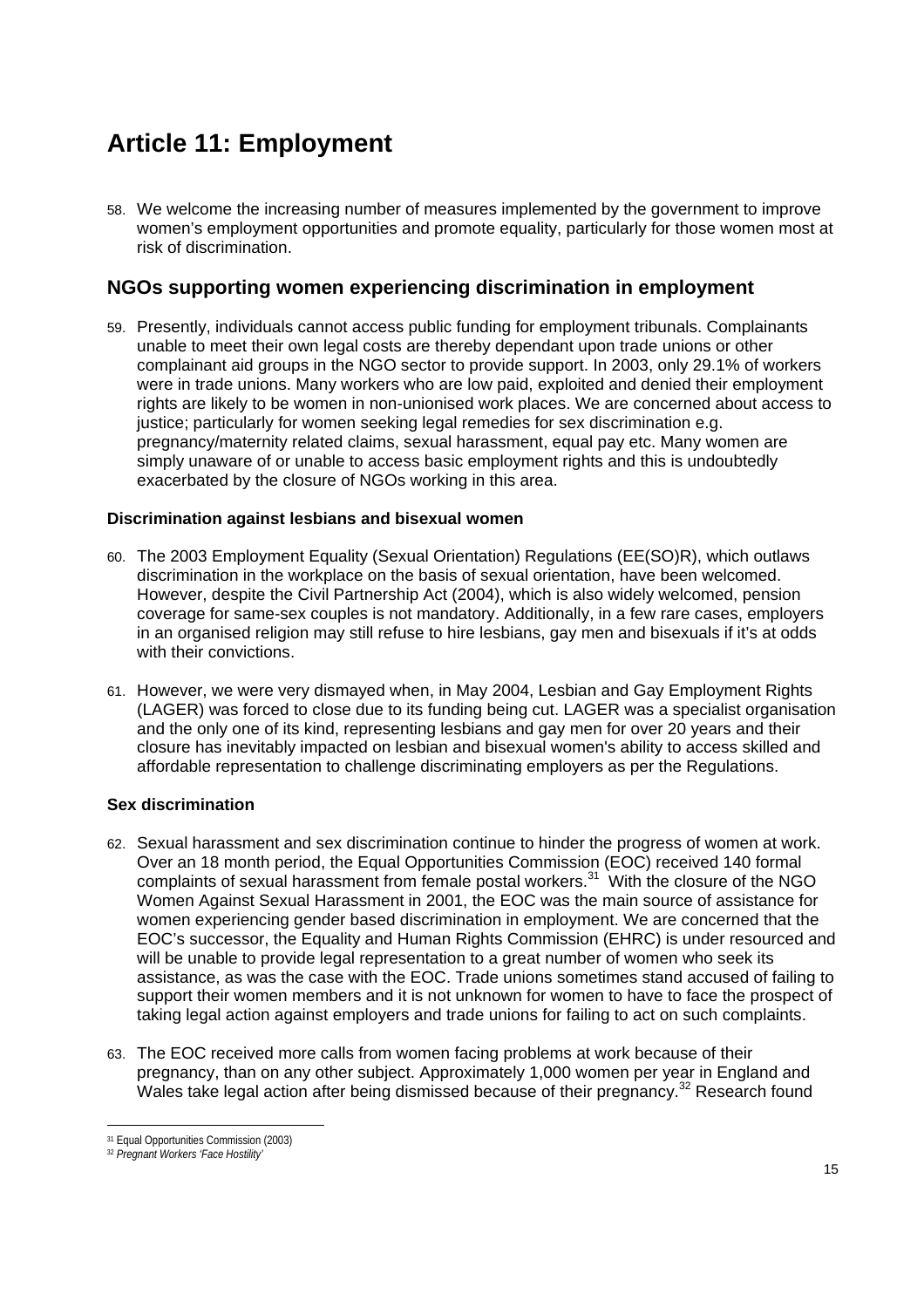## **Article 11: Employment**

58. We welcome the increasing number of measures implemented by the government to improve women's employment opportunities and promote equality, particularly for those women most at risk of discrimination.

## **NGOs supporting women experiencing discrimination in employment**

59. Presently, individuals cannot access public funding for employment tribunals. Complainants unable to meet their own legal costs are thereby dependant upon trade unions or other complainant aid groups in the NGO sector to provide support. In 2003, only 29.1% of workers were in trade unions. Many workers who are low paid, exploited and denied their employment rights are likely to be women in non-unionised work places. We are concerned about access to justice; particularly for women seeking legal remedies for sex discrimination e.g. pregnancy/maternity related claims, sexual harassment, equal pay etc. Many women are simply unaware of or unable to access basic employment rights and this is undoubtedly exacerbated by the closure of NGOs working in this area.

#### **Discrimination against lesbians and bisexual women**

- 60. The 2003 Employment Equality (Sexual Orientation) Regulations (EE(SO)R), which outlaws discrimination in the workplace on the basis of sexual orientation, have been welcomed. However, despite the Civil Partnership Act (2004), which is also widely welcomed, pension coverage for same-sex couples is not mandatory. Additionally, in a few rare cases, employers in an organised religion may still refuse to hire lesbians, gay men and bisexuals if it's at odds with their convictions.
- 61. However, we were very dismayed when, in May 2004, Lesbian and Gay Employment Rights (LAGER) was forced to close due to its funding being cut. LAGER was a specialist organisation and the only one of its kind, representing lesbians and gay men for over 20 years and their closure has inevitably impacted on lesbian and bisexual women's ability to access skilled and affordable representation to challenge discriminating employers as per the Regulations.

### **Sex discrimination**

- 62. Sexual harassment and sex discrimination continue to hinder the progress of women at work. Over an 18 month period, the Equal Opportunities Commission (EOC) received 140 formal complaints of sexual harassment from female postal workers.31 With the closure of the NGO Women Against Sexual Harassment in 2001, the EOC was the main source of assistance for women experiencing gender based discrimination in employment. We are concerned that the EOC's successor, the Equality and Human Rights Commission (EHRC) is under resourced and will be unable to provide legal representation to a great number of women who seek its assistance, as was the case with the EOC. Trade unions sometimes stand accused of failing to support their women members and it is not unknown for women to have to face the prospect of taking legal action against employers and trade unions for failing to act on such complaints.
- 63. The EOC received more calls from women facing problems at work because of their pregnancy, than on any other subject. Approximately 1,000 women per year in England and Wales take legal action after being dismissed because of their pregnancy.<sup>32</sup> Research found

 $\overline{a}$ 31 Equal Opportunities Commission (2003)

<sup>32</sup> *Pregnant Workers 'Face Hostility'*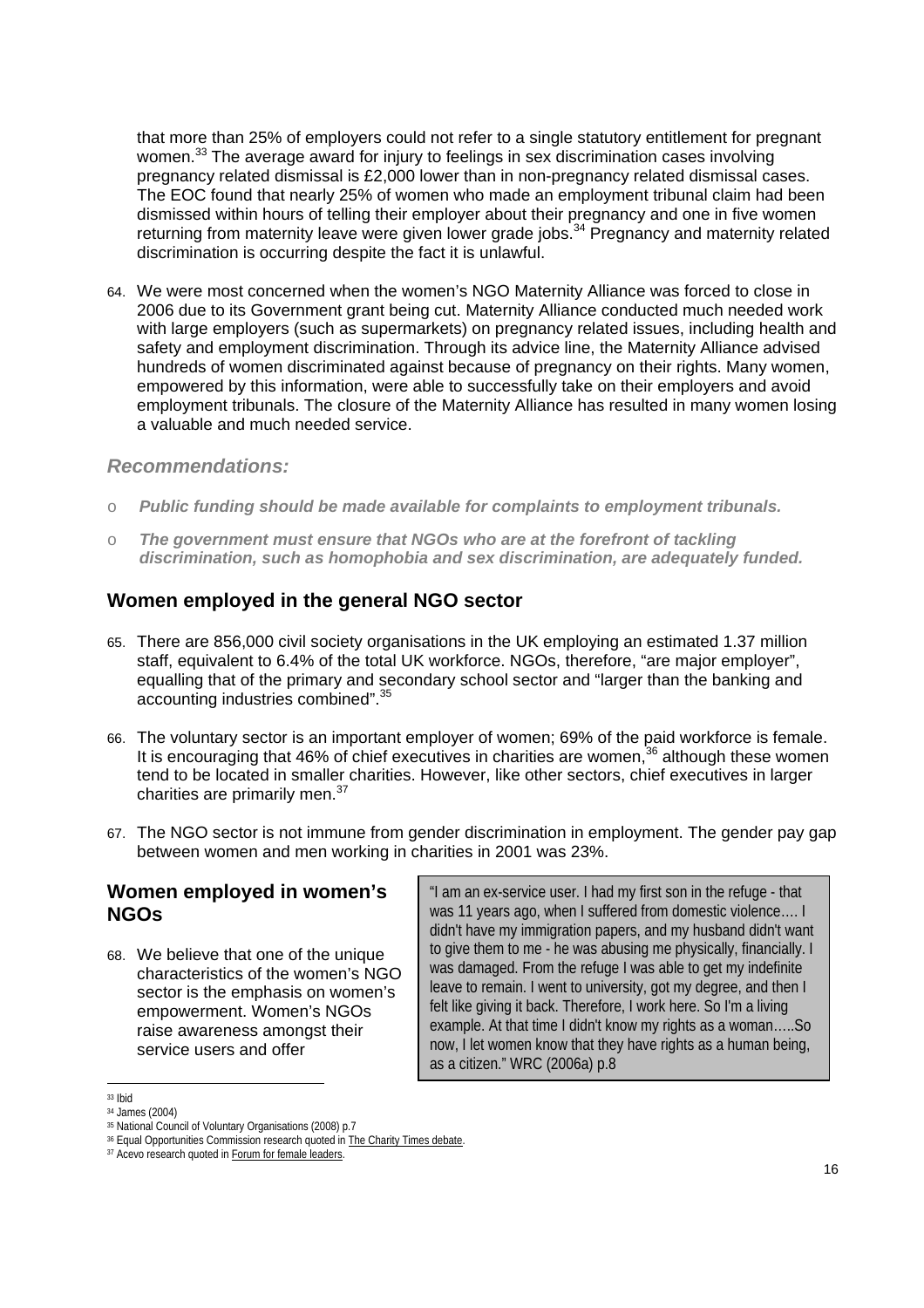that more than 25% of employers could not refer to a single statutory entitlement for pregnant women.<sup>33</sup> The average award for injury to feelings in sex discrimination cases involving pregnancy related dismissal is £2,000 lower than in non-pregnancy related dismissal cases. The EOC found that nearly 25% of women who made an employment tribunal claim had been dismissed within hours of telling their employer about their pregnancy and one in five women returning from maternity leave were given lower grade jobs.<sup>34</sup> Pregnancy and maternity related discrimination is occurring despite the fact it is unlawful.

64. We were most concerned when the women's NGO Maternity Alliance was forced to close in 2006 due to its Government grant being cut. Maternity Alliance conducted much needed work with large employers (such as supermarkets) on pregnancy related issues, including health and safety and employment discrimination. Through its advice line, the Maternity Alliance advised hundreds of women discriminated against because of pregnancy on their rights. Many women, empowered by this information, were able to successfully take on their employers and avoid employment tribunals. The closure of the Maternity Alliance has resulted in many women losing a valuable and much needed service.

#### *Recommendations:*

- o *Public funding should be made available for complaints to employment tribunals.*
- o *The government must ensure that NGOs who are at the forefront of tackling discrimination, such as homophobia and sex discrimination, are adequately funded.*

### **Women employed in the general NGO sector**

- 65. There are 856,000 civil society organisations in the UK employing an estimated 1.37 million staff, equivalent to 6.4% of the total UK workforce. NGOs, therefore, "are major employer", equalling that of the primary and secondary school sector and "larger than the banking and accounting industries combined".35
- 66. The voluntary sector is an important employer of women; 69% of the paid workforce is female. It is encouraging that 46% of chief executives in charities are women,  $36$  although these women tend to be located in smaller charities. However, like other sectors, chief executives in larger charities are primarily men.<sup>37</sup>
- 67. The NGO sector is not immune from gender discrimination in employment. The gender pay gap between women and men working in charities in 2001 was 23%.

#### **Women employed in women's NGOs**

68. We believe that one of the unique characteristics of the women's NGO sector is the emphasis on women's empowerment. Women's NGOs raise awareness amongst their service users and offer

"I am an ex-service user. I had my first son in the refuge - that was 11 years ago, when I suffered from domestic violence…. I didn't have my immigration papers, and my husband didn't want to give them to me - he was abusing me physically, financially. I was damaged. From the refuge I was able to get my indefinite leave to remain. I went to university, got my degree, and then I felt like giving it back. Therefore, I work here. So I'm a living example. At that time I didn't know my rights as a woman…..So now, I let women know that they have rights as a human being, as a citizen." WRC (2006a) p.8

<sup>33</sup> Ibid

<sup>&</sup>lt;sup>34</sup> James (2004)<br><sup>35</sup> National Council of Voluntary Organisations (2008) p.7

<sup>&</sup>lt;sup>36</sup> Equal Opportunities Commission research quoted in The Charity Times debate. <sup>37</sup> Acevo research quoted in Forum for female leaders.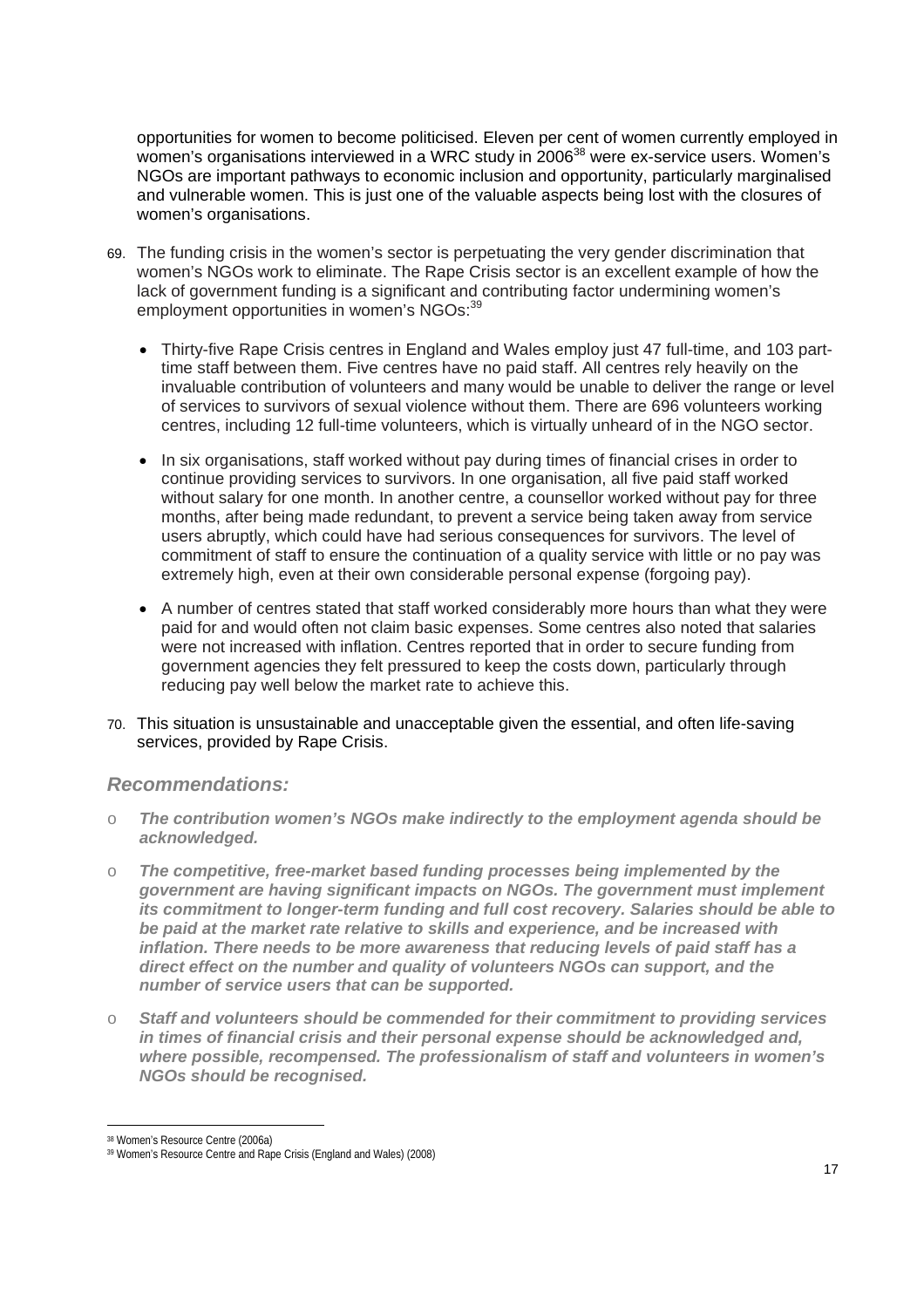opportunities for women to become politicised. Eleven per cent of women currently employed in women's organisations interviewed in a WRC study in 2006<sup>38</sup> were ex-service users. Women's NGOs are important pathways to economic inclusion and opportunity, particularly marginalised and vulnerable women. This is just one of the valuable aspects being lost with the closures of women's organisations.

- 69. The funding crisis in the women's sector is perpetuating the very gender discrimination that women's NGOs work to eliminate. The Rape Crisis sector is an excellent example of how the lack of government funding is a significant and contributing factor undermining women's employment opportunities in women's NGOs:<sup>39</sup>
	- Thirty-five Rape Crisis centres in England and Wales employ just 47 full-time, and 103 parttime staff between them. Five centres have no paid staff. All centres rely heavily on the invaluable contribution of volunteers and many would be unable to deliver the range or level of services to survivors of sexual violence without them. There are 696 volunteers working centres, including 12 full-time volunteers, which is virtually unheard of in the NGO sector.
	- In six organisations, staff worked without pay during times of financial crises in order to continue providing services to survivors. In one organisation, all five paid staff worked without salary for one month. In another centre, a counsellor worked without pay for three months, after being made redundant, to prevent a service being taken away from service users abruptly, which could have had serious consequences for survivors. The level of commitment of staff to ensure the continuation of a quality service with little or no pay was extremely high, even at their own considerable personal expense (forgoing pay).
	- A number of centres stated that staff worked considerably more hours than what they were paid for and would often not claim basic expenses. Some centres also noted that salaries were not increased with inflation. Centres reported that in order to secure funding from government agencies they felt pressured to keep the costs down, particularly through reducing pay well below the market rate to achieve this.
- 70. This situation is unsustainable and unacceptable given the essential, and often life-saving services, provided by Rape Crisis.

### *Recommendations:*

- o *The contribution women's NGOs make indirectly to the employment agenda should be acknowledged.*
- o *The competitive, free-market based funding processes being implemented by the government are having significant impacts on NGOs. The government must implement its commitment to longer-term funding and full cost recovery. Salaries should be able to be paid at the market rate relative to skills and experience, and be increased with inflation. There needs to be more awareness that reducing levels of paid staff has a direct effect on the number and quality of volunteers NGOs can support, and the number of service users that can be supported.*
- o *Staff and volunteers should be commended for their commitment to providing services in times of financial crisis and their personal expense should be acknowledged and, where possible, recompensed. The professionalism of staff and volunteers in women's NGOs should be recognised.*

 $\overline{a}$ 

<sup>38</sup> Women's Resource Centre (2006a)

<sup>39</sup> Women's Resource Centre and Rape Crisis (England and Wales) (2008)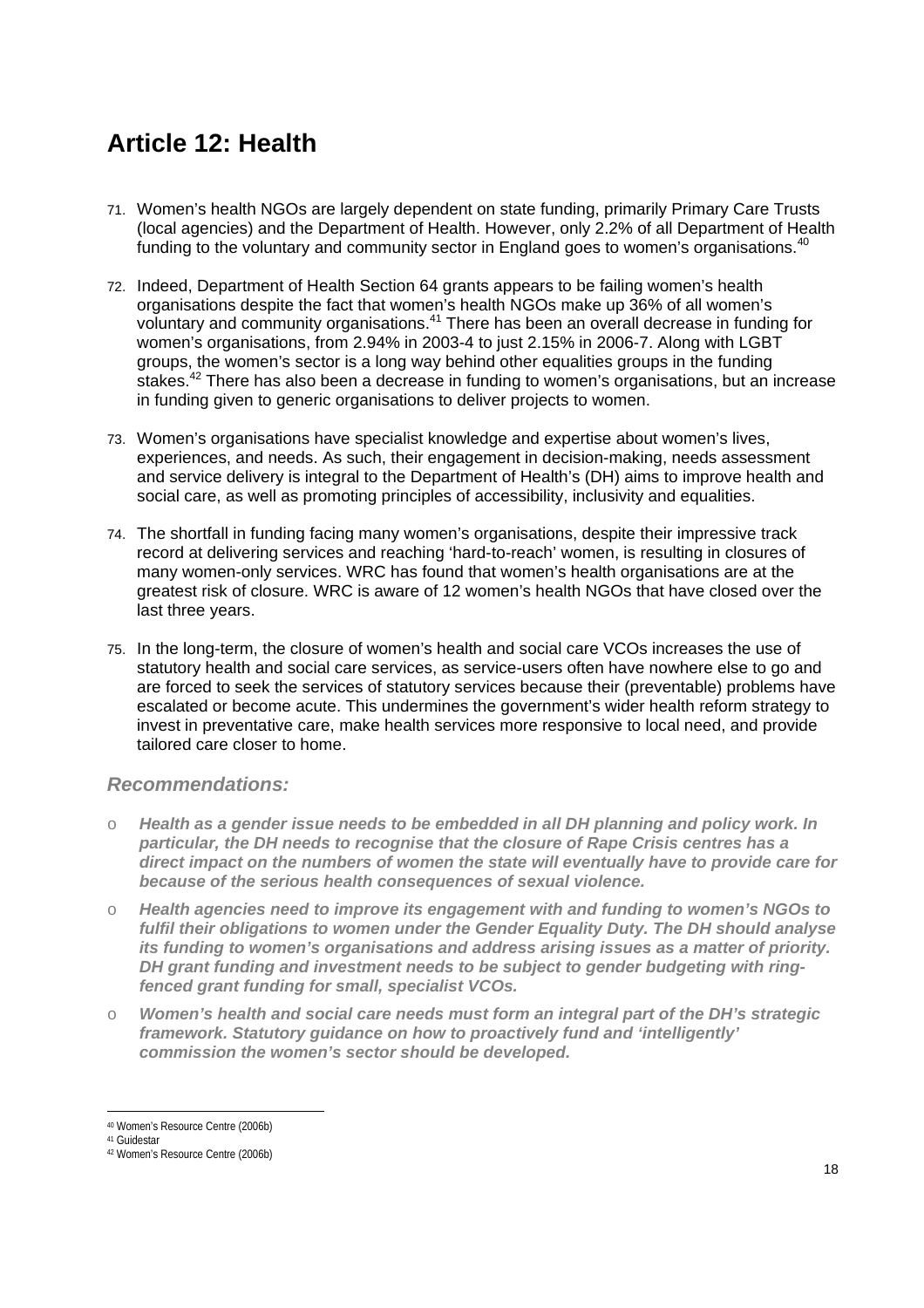## **Article 12: Health**

- 71. Women's health NGOs are largely dependent on state funding, primarily Primary Care Trusts (local agencies) and the Department of Health. However, only 2.2% of all Department of Health funding to the voluntary and community sector in England goes to women's organisations.<sup>40</sup>
- 72. Indeed, Department of Health Section 64 grants appears to be failing women's health organisations despite the fact that women's health NGOs make up 36% of all women's voluntary and community organisations.41 There has been an overall decrease in funding for women's organisations, from 2.94% in 2003-4 to just 2.15% in 2006-7. Along with LGBT groups, the women's sector is a long way behind other equalities groups in the funding stakes.<sup>42</sup> There has also been a decrease in funding to women's organisations, but an increase in funding given to generic organisations to deliver projects to women.
- 73. Women's organisations have specialist knowledge and expertise about women's lives, experiences, and needs. As such, their engagement in decision-making, needs assessment and service delivery is integral to the Department of Health's (DH) aims to improve health and social care, as well as promoting principles of accessibility, inclusivity and equalities.
- 74. The shortfall in funding facing many women's organisations, despite their impressive track record at delivering services and reaching 'hard-to-reach' women, is resulting in closures of many women-only services. WRC has found that women's health organisations are at the greatest risk of closure. WRC is aware of 12 women's health NGOs that have closed over the last three years.
- 75. In the long-term, the closure of women's health and social care VCOs increases the use of statutory health and social care services, as service-users often have nowhere else to go and are forced to seek the services of statutory services because their (preventable) problems have escalated or become acute. This undermines the government's wider health reform strategy to invest in preventative care, make health services more responsive to local need, and provide tailored care closer to home.

## *Recommendations:*

- o *Health as a gender issue needs to be embedded in all DH planning and policy work. In particular, the DH needs to recognise that the closure of Rape Crisis centres has a direct impact on the numbers of women the state will eventually have to provide care for because of the serious health consequences of sexual violence.*
- o *Health agencies need to improve its engagement with and funding to women's NGOs to fulfil their obligations to women under the Gender Equality Duty. The DH should analyse its funding to women's organisations and address arising issues as a matter of priority. DH grant funding and investment needs to be subject to gender budgeting with ringfenced grant funding for small, specialist VCOs.*
- o *Women's health and social care needs must form an integral part of the DH's strategic framework. Statutory guidance on how to proactively fund and 'intelligently' commission the women's sector should be developed.*

<sup>40</sup> Women's Resource Centre (2006b)

<sup>41</sup> Guidestar

<sup>42</sup> Women's Resource Centre (2006b)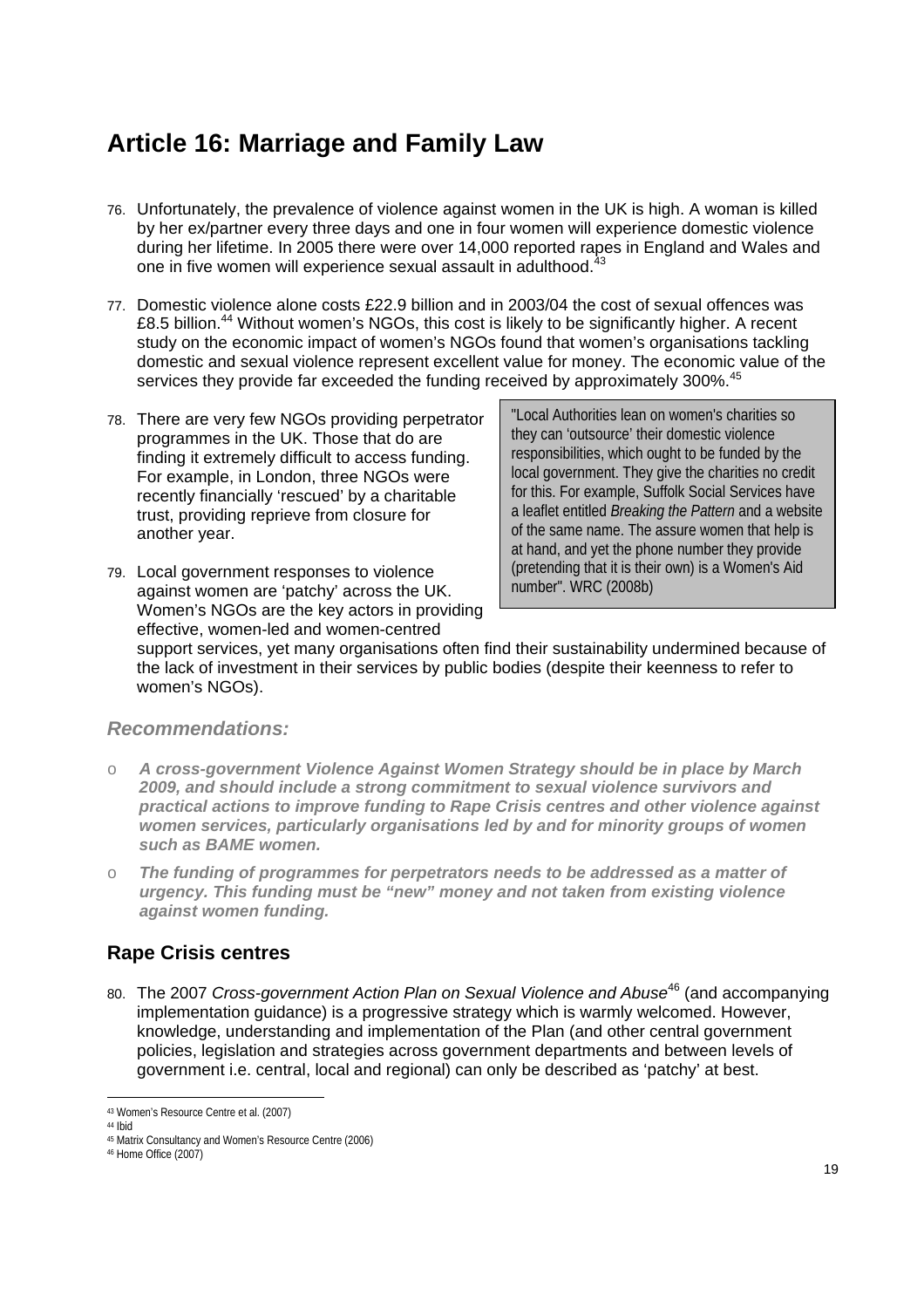## **Article 16: Marriage and Family Law**

- 76. Unfortunately, the prevalence of violence against women in the UK is high. A woman is killed by her ex/partner every three days and one in four women will experience domestic violence during her lifetime. In 2005 there were over 14,000 reported rapes in England and Wales and one in five women will experience sexual assault in adulthood.<sup>43</sup>
- 77. Domestic violence alone costs £22.9 billion and in 2003/04 the cost of sexual offences was £8.5 billion.<sup>44</sup> Without women's NGOs, this cost is likely to be significantly higher. A recent study on the economic impact of women's NGOs found that women's organisations tackling domestic and sexual violence represent excellent value for money. The economic value of the services they provide far exceeded the funding received by approximately 300%.<sup>45</sup>
- 78. There are very few NGOs providing perpetrator programmes in the UK. Those that do are finding it extremely difficult to access funding. For example, in London, three NGOs were recently financially 'rescued' by a charitable trust, providing reprieve from closure for another year.
- 79. Local government responses to violence against women are 'patchy' across the UK. Women's NGOs are the key actors in providing effective, women-led and women-centred

"Local Authorities lean on women's charities so they can 'outsource' their domestic violence responsibilities, which ought to be funded by the local government. They give the charities no credit for this. For example, Suffolk Social Services have a leaflet entitled *Breaking the Pattern* and a website of the same name. The assure women that help is at hand, and yet the phone number they provide (pretending that it is their own) is a Women's Aid number". WRC (2008b)

support services, yet many organisations often find their sustainability undermined because of the lack of investment in their services by public bodies (despite their keenness to refer to women's NGOs).

### *Recommendations:*

- o *A cross-government Violence Against Women Strategy should be in place by March 2009, and should include a strong commitment to sexual violence survivors and practical actions to improve funding to Rape Crisis centres and other violence against women services, particularly organisations led by and for minority groups of women such as BAME women.*
- o *The funding of programmes for perpetrators needs to be addressed as a matter of urgency. This funding must be "new" money and not taken from existing violence against women funding.*

## **Rape Crisis centres**

80. The 2007 *Cross-government Action Plan on Sexual Violence and Abuse*46 (and accompanying implementation guidance) is a progressive strategy which is warmly welcomed. However, knowledge, understanding and implementation of the Plan (and other central government policies, legislation and strategies across government departments and between levels of government i.e. central, local and regional) can only be described as 'patchy' at best.

<sup>43</sup> Women's Resource Centre et al. (2007)

<sup>44</sup> Ibid

<sup>45</sup> Matrix Consultancy and Women's Resource Centre (2006) 46 Home Office (2007)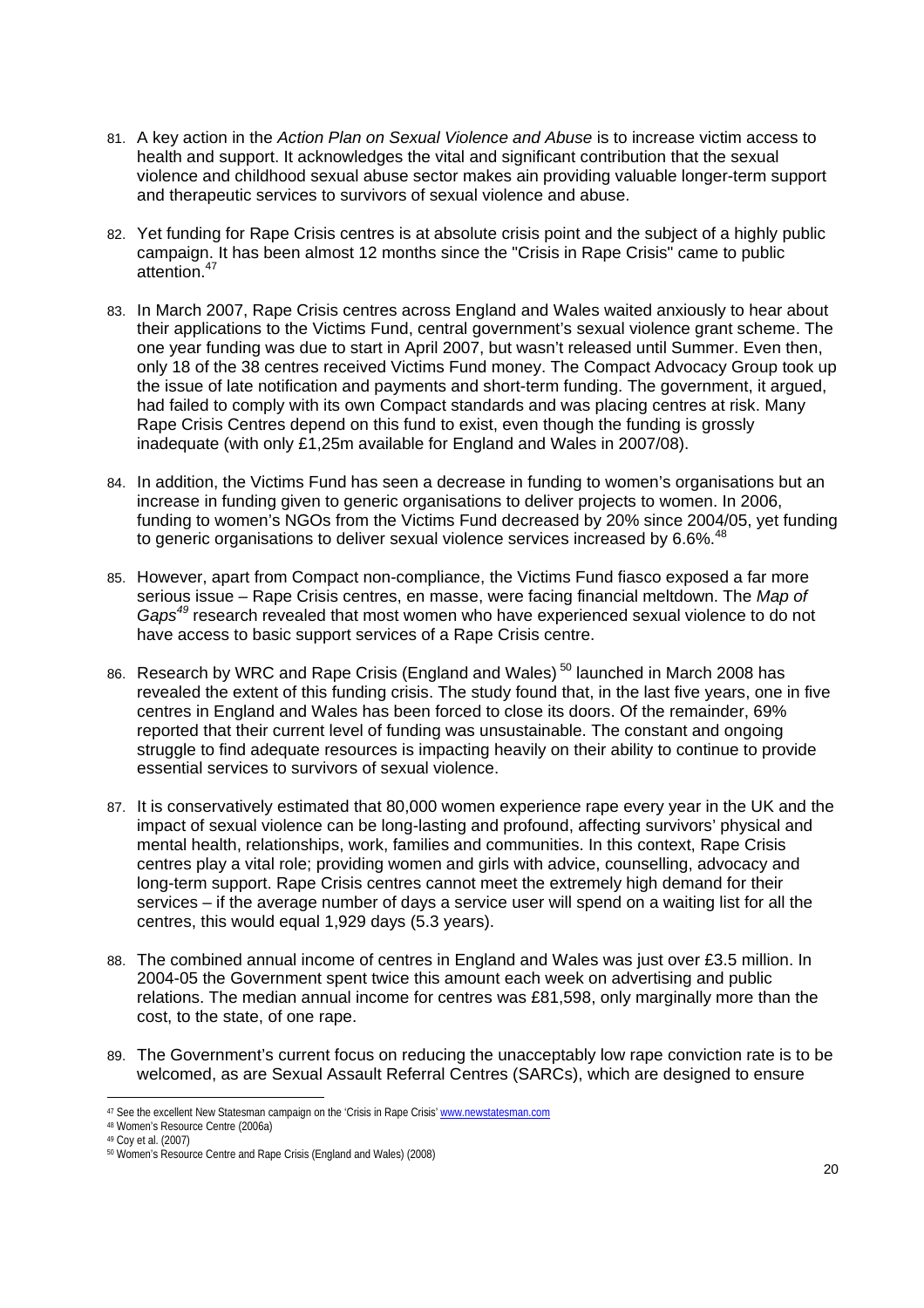- 81. A key action in the *Action Plan on Sexual Violence and Abuse* is to increase victim access to health and support. It acknowledges the vital and significant contribution that the sexual violence and childhood sexual abuse sector makes ain providing valuable longer-term support and therapeutic services to survivors of sexual violence and abuse.
- 82. Yet funding for Rape Crisis centres is at absolute crisis point and the subject of a highly public campaign. It has been almost 12 months since the "Crisis in Rape Crisis" came to public attention.<sup>47</sup>
- 83. In March 2007, Rape Crisis centres across England and Wales waited anxiously to hear about their applications to the Victims Fund, central government's sexual violence grant scheme. The one year funding was due to start in April 2007, but wasn't released until Summer. Even then, only 18 of the 38 centres received Victims Fund money. The Compact Advocacy Group took up the issue of late notification and payments and short-term funding. The government, it argued, had failed to comply with its own Compact standards and was placing centres at risk. Many Rape Crisis Centres depend on this fund to exist, even though the funding is grossly inadequate (with only £1,25m available for England and Wales in 2007/08).
- 84. In addition, the Victims Fund has seen a decrease in funding to women's organisations but an increase in funding given to generic organisations to deliver projects to women. In 2006, funding to women's NGOs from the Victims Fund decreased by 20% since 2004/05, yet funding to generic organisations to deliver sexual violence services increased by 6.6%.<sup>48</sup>
- 85. However, apart from Compact non-compliance, the Victims Fund fiasco exposed a far more serious issue – Rape Crisis centres, en masse, were facing financial meltdown. The *Map of Gaps<sup>49</sup>* research revealed that most women who have experienced sexual violence to do not have access to basic support services of a Rape Crisis centre.
- 86. Research by WRC and Rape Crisis (England and Wales)<sup>50</sup> launched in March 2008 has revealed the extent of this funding crisis. The study found that, in the last five years, one in five centres in England and Wales has been forced to close its doors. Of the remainder, 69% reported that their current level of funding was unsustainable. The constant and ongoing struggle to find adequate resources is impacting heavily on their ability to continue to provide essential services to survivors of sexual violence.
- 87. It is conservatively estimated that 80,000 women experience rape every year in the UK and the impact of sexual violence can be long-lasting and profound, affecting survivors' physical and mental health, relationships, work, families and communities. In this context, Rape Crisis centres play a vital role; providing women and girls with advice, counselling, advocacy and long-term support. Rape Crisis centres cannot meet the extremely high demand for their services – if the average number of days a service user will spend on a waiting list for all the centres, this would equal 1,929 days (5.3 years).
- 88. The combined annual income of centres in England and Wales was just over £3.5 million. In 2004-05 the Government spent twice this amount each week on advertising and public relations. The median annual income for centres was £81,598, only marginally more than the cost, to the state, of one rape.
- 89. The Government's current focus on reducing the unacceptably low rape conviction rate is to be welcomed, as are Sexual Assault Referral Centres (SARCs), which are designed to ensure

<sup>&</sup>lt;sup>47</sup> See the excellent New Statesman campaign on the 'Crisis in Rape Crisis' www.newstatesman.com

<sup>48</sup> Women's Resource Centre (2006a)

<sup>49</sup> Coy et al. (2007)

<sup>50</sup> Women's Resource Centre and Rape Crisis (England and Wales) (2008)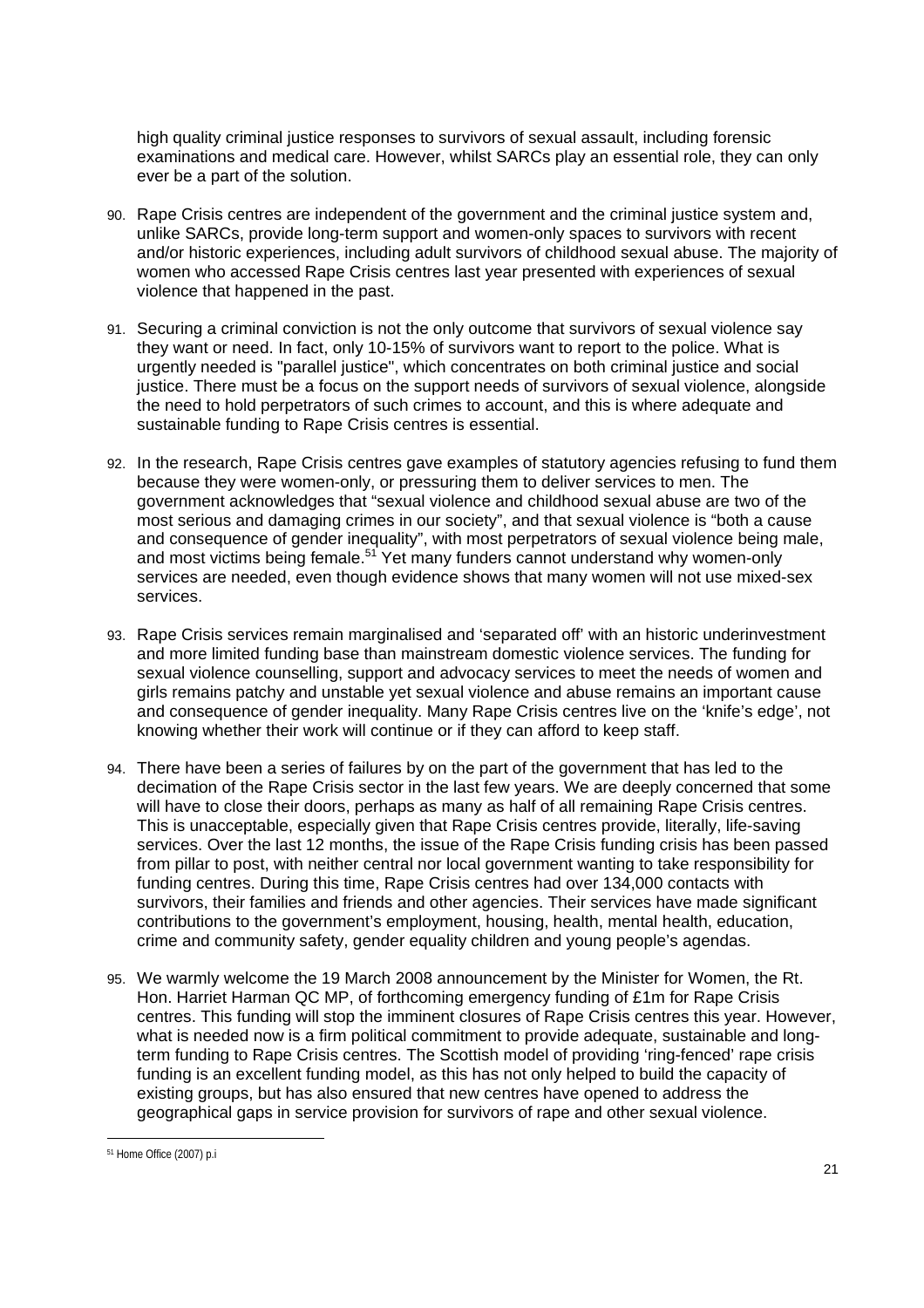high quality criminal justice responses to survivors of sexual assault, including forensic examinations and medical care. However, whilst SARCs play an essential role, they can only ever be a part of the solution.

- 90. Rape Crisis centres are independent of the government and the criminal justice system and, unlike SARCs, provide long-term support and women-only spaces to survivors with recent and/or historic experiences, including adult survivors of childhood sexual abuse. The majority of women who accessed Rape Crisis centres last year presented with experiences of sexual violence that happened in the past.
- 91. Securing a criminal conviction is not the only outcome that survivors of sexual violence say they want or need. In fact, only 10-15% of survivors want to report to the police. What is urgently needed is "parallel justice", which concentrates on both criminal justice and social justice. There must be a focus on the support needs of survivors of sexual violence, alongside the need to hold perpetrators of such crimes to account, and this is where adequate and sustainable funding to Rape Crisis centres is essential.
- 92. In the research, Rape Crisis centres gave examples of statutory agencies refusing to fund them because they were women-only, or pressuring them to deliver services to men. The government acknowledges that "sexual violence and childhood sexual abuse are two of the most serious and damaging crimes in our society", and that sexual violence is "both a cause and consequence of gender inequality", with most perpetrators of sexual violence being male, and most victims being female.<sup>51</sup> Yet many funders cannot understand why women-only services are needed, even though evidence shows that many women will not use mixed-sex services.
- 93. Rape Crisis services remain marginalised and 'separated off' with an historic underinvestment and more limited funding base than mainstream domestic violence services. The funding for sexual violence counselling, support and advocacy services to meet the needs of women and girls remains patchy and unstable yet sexual violence and abuse remains an important cause and consequence of gender inequality. Many Rape Crisis centres live on the 'knife's edge', not knowing whether their work will continue or if they can afford to keep staff.
- 94. There have been a series of failures by on the part of the government that has led to the decimation of the Rape Crisis sector in the last few years. We are deeply concerned that some will have to close their doors, perhaps as many as half of all remaining Rape Crisis centres. This is unacceptable, especially given that Rape Crisis centres provide, literally, life-saving services. Over the last 12 months, the issue of the Rape Crisis funding crisis has been passed from pillar to post, with neither central nor local government wanting to take responsibility for funding centres. During this time, Rape Crisis centres had over 134,000 contacts with survivors, their families and friends and other agencies. Their services have made significant contributions to the government's employment, housing, health, mental health, education, crime and community safety, gender equality children and young people's agendas.
- 95. We warmly welcome the 19 March 2008 announcement by the Minister for Women, the Rt. Hon. Harriet Harman QC MP, of forthcoming emergency funding of £1m for Rape Crisis centres. This funding will stop the imminent closures of Rape Crisis centres this year. However, what is needed now is a firm political commitment to provide adequate, sustainable and longterm funding to Rape Crisis centres. The Scottish model of providing 'ring-fenced' rape crisis funding is an excellent funding model, as this has not only helped to build the capacity of existing groups, but has also ensured that new centres have opened to address the geographical gaps in service provision for survivors of rape and other sexual violence.

 51 Home Office (2007) p.i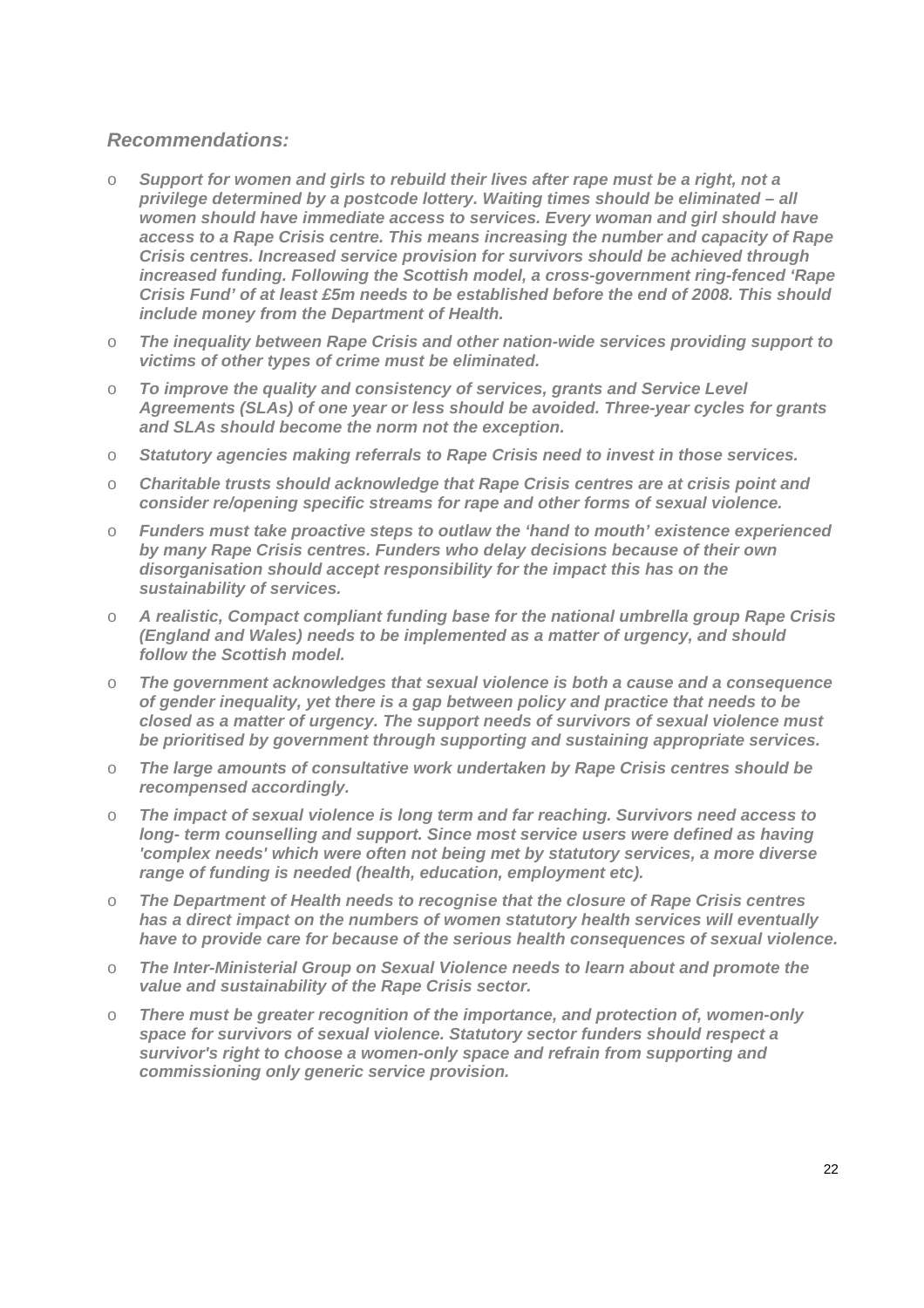### *Recommendations:*

- o *Support for women and girls to rebuild their lives after rape must be a right, not a privilege determined by a postcode lottery. Waiting times should be eliminated – all women should have immediate access to services. Every woman and girl should have access to a Rape Crisis centre. This means increasing the number and capacity of Rape Crisis centres. Increased service provision for survivors should be achieved through increased funding. Following the Scottish model, a cross-government ring-fenced 'Rape Crisis Fund' of at least £5m needs to be established before the end of 2008. This should include money from the Department of Health.*
- o *The inequality between Rape Crisis and other nation-wide services providing support to victims of other types of crime must be eliminated.*
- o *To improve the quality and consistency of services, grants and Service Level Agreements (SLAs) of one year or less should be avoided. Three-year cycles for grants and SLAs should become the norm not the exception.*
- o *Statutory agencies making referrals to Rape Crisis need to invest in those services.*
- o *Charitable trusts should acknowledge that Rape Crisis centres are at crisis point and consider re/opening specific streams for rape and other forms of sexual violence.*
- o *Funders must take proactive steps to outlaw the 'hand to mouth' existence experienced by many Rape Crisis centres. Funders who delay decisions because of their own disorganisation should accept responsibility for the impact this has on the sustainability of services.*
- o *A realistic, Compact compliant funding base for the national umbrella group Rape Crisis (England and Wales) needs to be implemented as a matter of urgency, and should follow the Scottish model.*
- o *The government acknowledges that sexual violence is both a cause and a consequence of gender inequality, yet there is a gap between policy and practice that needs to be closed as a matter of urgency. The support needs of survivors of sexual violence must be prioritised by government through supporting and sustaining appropriate services.*
- o *The large amounts of consultative work undertaken by Rape Crisis centres should be recompensed accordingly.*
- o *The impact of sexual violence is long term and far reaching. Survivors need access to long- term counselling and support. Since most service users were defined as having 'complex needs' which were often not being met by statutory services, a more diverse range of funding is needed (health, education, employment etc).*
- o *The Department of Health needs to recognise that the closure of Rape Crisis centres has a direct impact on the numbers of women statutory health services will eventually have to provide care for because of the serious health consequences of sexual violence.*
- o *The Inter-Ministerial Group on Sexual Violence needs to learn about and promote the value and sustainability of the Rape Crisis sector.*
- o *There must be greater recognition of the importance, and protection of, women-only space for survivors of sexual violence. Statutory sector funders should respect a survivor's right to choose a women-only space and refrain from supporting and commissioning only generic service provision.*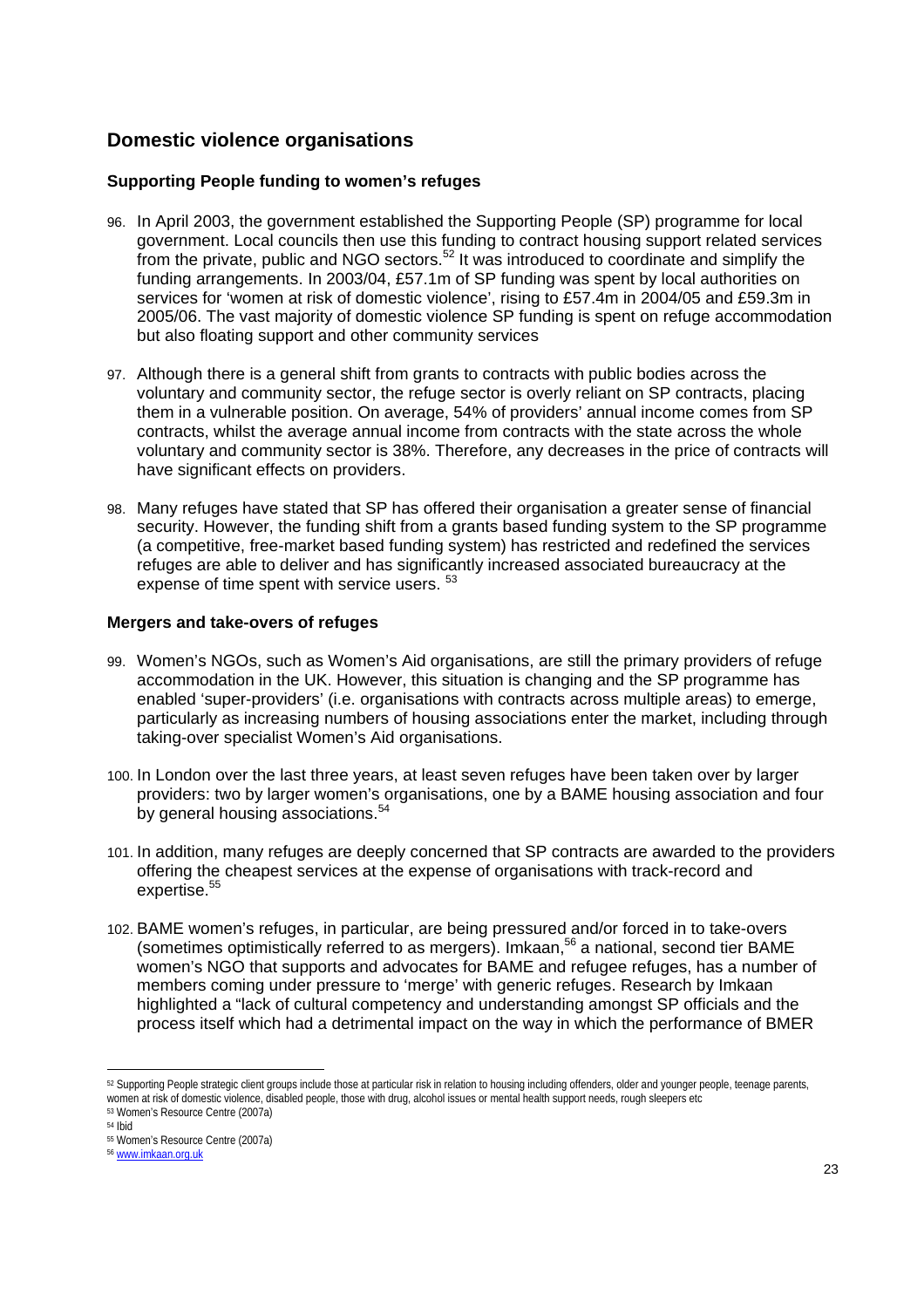## **Domestic violence organisations**

#### **Supporting People funding to women's refuges**

- 96. In April 2003, the government established the Supporting People (SP) programme for local government. Local councils then use this funding to contract housing support related services from the private, public and NGO sectors.<sup>52</sup> It was introduced to coordinate and simplify the funding arrangements. In 2003/04, £57.1m of SP funding was spent by local authorities on services for 'women at risk of domestic violence', rising to £57.4m in 2004/05 and £59.3m in 2005/06. The vast majority of domestic violence SP funding is spent on refuge accommodation but also floating support and other community services
- 97. Although there is a general shift from grants to contracts with public bodies across the voluntary and community sector, the refuge sector is overly reliant on SP contracts, placing them in a vulnerable position. On average, 54% of providers' annual income comes from SP contracts, whilst the average annual income from contracts with the state across the whole voluntary and community sector is 38%. Therefore, any decreases in the price of contracts will have significant effects on providers.
- 98. Many refuges have stated that SP has offered their organisation a greater sense of financial security. However, the funding shift from a grants based funding system to the SP programme (a competitive, free-market based funding system) has restricted and redefined the services refuges are able to deliver and has significantly increased associated bureaucracy at the expense of time spent with service users.  $53$

#### **Mergers and take-overs of refuges**

- 99. Women's NGOs, such as Women's Aid organisations, are still the primary providers of refuge accommodation in the UK. However, this situation is changing and the SP programme has enabled 'super-providers' (i.e. organisations with contracts across multiple areas) to emerge, particularly as increasing numbers of housing associations enter the market, including through taking-over specialist Women's Aid organisations.
- 100. In London over the last three years, at least seven refuges have been taken over by larger providers: two by larger women's organisations, one by a BAME housing association and four by general housing associations.<sup>54</sup>
- 101. In addition, many refuges are deeply concerned that SP contracts are awarded to the providers offering the cheapest services at the expense of organisations with track-record and expertise.<sup>55</sup>
- 102. BAME women's refuges, in particular, are being pressured and/or forced in to take-overs (sometimes optimistically referred to as mergers). Imkaan,<sup>56</sup> a national, second tier BAME women's NGO that supports and advocates for BAME and refugee refuges, has a number of members coming under pressure to 'merge' with generic refuges. Research by Imkaan highlighted a "lack of cultural competency and understanding amongst SP officials and the process itself which had a detrimental impact on the way in which the performance of BMER

54 Ibid

<sup>52</sup> Supporting People strategic client groups include those at particular risk in relation to housing including offenders, older and younger people, teenage parents, women at risk of domestic violence, disabled people, those with drug, alcohol issues or mental health support needs, rough sleepers etc<br>53 Women's Resource Centre (2007a)

<sup>55</sup> Women's Resource Centre (2007a)

<sup>56</sup> www.imkaan.org.uk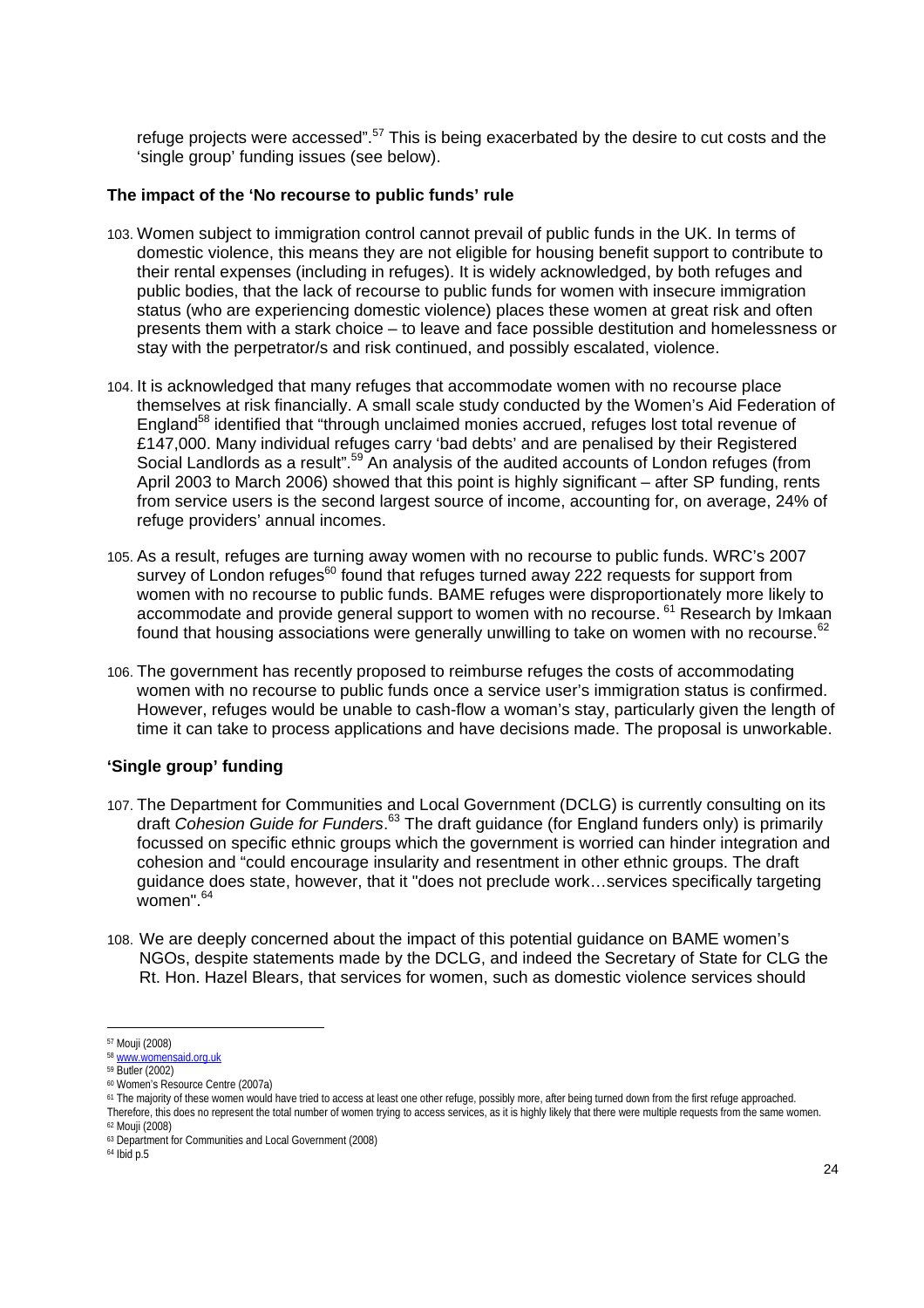refuge projects were accessed".<sup>57</sup> This is being exacerbated by the desire to cut costs and the 'single group' funding issues (see below).

#### **The impact of the 'No recourse to public funds' rule**

- 103. Women subject to immigration control cannot prevail of public funds in the UK. In terms of domestic violence, this means they are not eligible for housing benefit support to contribute to their rental expenses (including in refuges). It is widely acknowledged, by both refuges and public bodies, that the lack of recourse to public funds for women with insecure immigration status (who are experiencing domestic violence) places these women at great risk and often presents them with a stark choice – to leave and face possible destitution and homelessness or stay with the perpetrator/s and risk continued, and possibly escalated, violence.
- 104. It is acknowledged that many refuges that accommodate women with no recourse place themselves at risk financially. A small scale study conducted by the Women's Aid Federation of England<sup>58</sup> identified that "through unclaimed monies accrued, refuges lost total revenue of £147,000. Many individual refuges carry 'bad debts' and are penalised by their Registered Social Landlords as a result".<sup>59</sup> An analysis of the audited accounts of London refuges (from April 2003 to March 2006) showed that this point is highly significant – after SP funding, rents from service users is the second largest source of income, accounting for, on average, 24% of refuge providers' annual incomes.
- 105. As a result, refuges are turning away women with no recourse to public funds. WRC's 2007 survey of London refuges<sup>60</sup> found that refuges turned away 222 requests for support from women with no recourse to public funds. BAME refuges were disproportionately more likely to accommodate and provide general support to women with no recourse. 61 Research by Imkaan found that housing associations were generally unwilling to take on women with no recourse. $62$
- 106. The government has recently proposed to reimburse refuges the costs of accommodating women with no recourse to public funds once a service user's immigration status is confirmed. However, refuges would be unable to cash-flow a woman's stay, particularly given the length of time it can take to process applications and have decisions made. The proposal is unworkable.

#### **'Single group' funding**

- 107. The Department for Communities and Local Government (DCLG) is currently consulting on its draft *Cohesion Guide for Funders*. 63 The draft guidance (for England funders only) is primarily focussed on specific ethnic groups which the government is worried can hinder integration and cohesion and "could encourage insularity and resentment in other ethnic groups. The draft guidance does state, however, that it "does not preclude work…services specifically targeting women".  $64$
- 108. We are deeply concerned about the impact of this potential guidance on BAME women's NGOs, despite statements made by the DCLG, and indeed the Secretary of State for CLG the Rt. Hon. Hazel Blears, that services for women, such as domestic violence services should

 57 Mouji (2008)

<sup>58</sup> www.womensaid.org.uk<br>59 Butler (2002)

<sup>60</sup> Women's Resource Centre (2007a)

<sup>&</sup>lt;sup>61</sup> The majority of these women would have tried to access at least one other refuge, possibly more, after being turned down from the first refuge approached. Therefore, this does no represent the total number of women trying to access services, as it is highly likely that there were multiple requests from the same women.<br><sup>62</sup> Mouji (2008)

<sup>63</sup> Department for Communities and Local Government (2008)

<sup>64</sup> Ibid p.5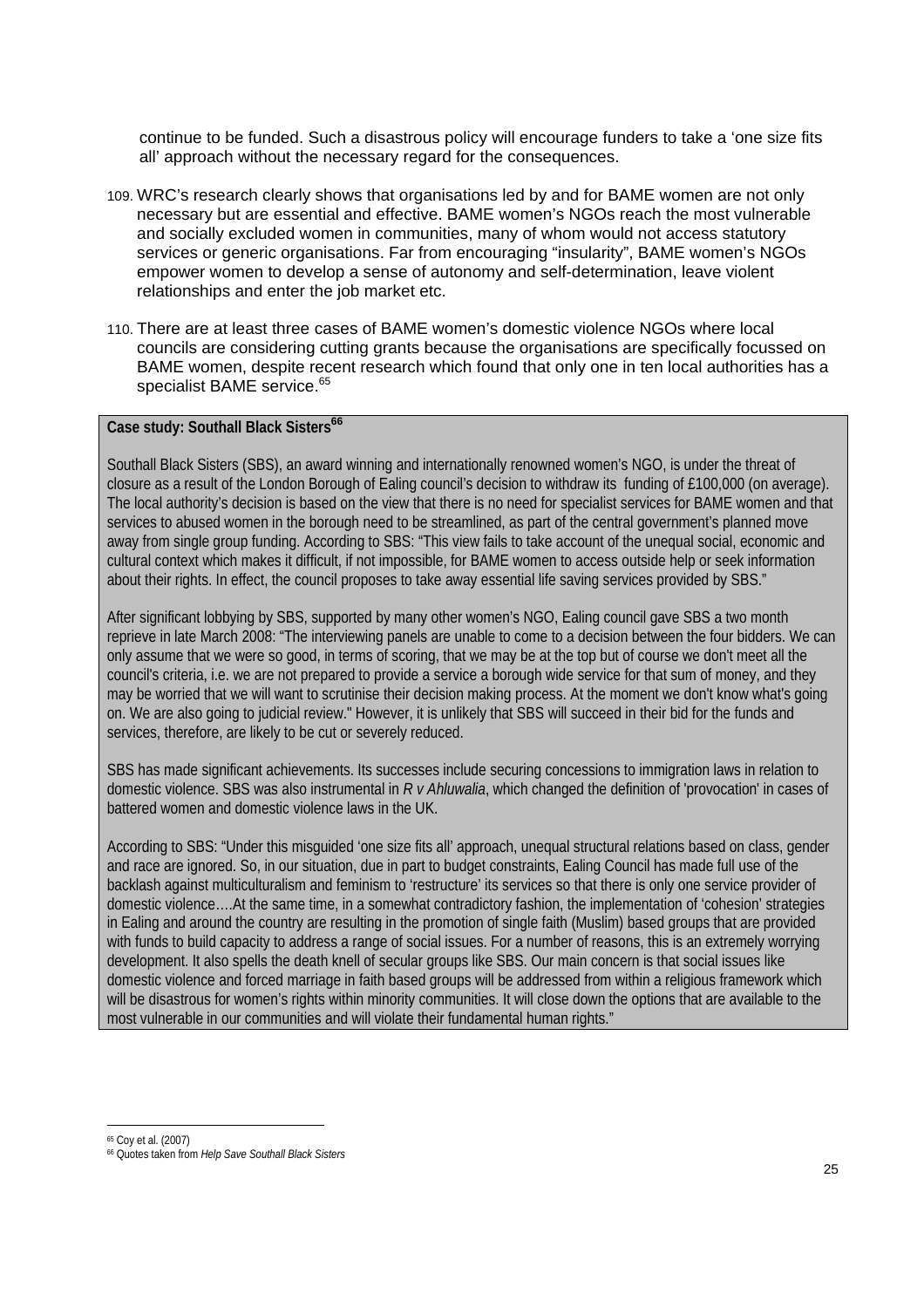continue to be funded. Such a disastrous policy will encourage funders to take a 'one size fits all' approach without the necessary regard for the consequences.

- 109. WRC's research clearly shows that organisations led by and for BAME women are not only necessary but are essential and effective. BAME women's NGOs reach the most vulnerable and socially excluded women in communities, many of whom would not access statutory services or generic organisations. Far from encouraging "insularity", BAME women's NGOs empower women to develop a sense of autonomy and self-determination, leave violent relationships and enter the job market etc.
- 110. There are at least three cases of BAME women's domestic violence NGOs where local councils are considering cutting grants because the organisations are specifically focussed on BAME women, despite recent research which found that only one in ten local authorities has a specialist BAME service.<sup>65</sup>

### **Case study: Southall Black Sisters<sup>66</sup>**

Southall Black Sisters (SBS), an award winning and internationally renowned women's NGO, is under the threat of closure as a result of the London Borough of Ealing council's decision to withdraw its funding of £100,000 (on average). The local authority's decision is based on the view that there is no need for specialist services for BAME women and that services to abused women in the borough need to be streamlined, as part of the central government's planned move away from single group funding. According to SBS: "This view fails to take account of the unequal social, economic and cultural context which makes it difficult, if not impossible, for BAME women to access outside help or seek information about their rights. In effect, the council proposes to take away essential life saving services provided by SBS."

After significant lobbying by SBS, supported by many other women's NGO, Ealing council gave SBS a two month reprieve in late March 2008: "The interviewing panels are unable to come to a decision between the four bidders. We can only assume that we were so good, in terms of scoring, that we may be at the top but of course we don't meet all the council's criteria, i.e. we are not prepared to provide a service a borough wide service for that sum of money, and they may be worried that we will want to scrutinise their decision making process. At the moment we don't know what's going on. We are also going to judicial review." However, it is unlikely that SBS will succeed in their bid for the funds and services, therefore, are likely to be cut or severely reduced.

SBS has made significant achievements. Its successes include securing concessions to immigration laws in relation to domestic violence. SBS was also instrumental in *R v Ahluwalia*, which changed the definition of 'provocation' in cases of battered women and domestic violence laws in the UK.

According to SBS: "Under this misguided 'one size fits all' approach, unequal structural relations based on class, gender and race are ignored. So, in our situation, due in part to budget constraints, Ealing Council has made full use of the backlash against multiculturalism and feminism to 'restructure' its services so that there is only one service provider of domestic violence….At the same time, in a somewhat contradictory fashion, the implementation of 'cohesion' strategies in Ealing and around the country are resulting in the promotion of single faith (Muslim) based groups that are provided with funds to build capacity to address a range of social issues. For a number of reasons, this is an extremely worrying development. It also spells the death knell of secular groups like SBS. Our main concern is that social issues like domestic violence and forced marriage in faith based groups will be addressed from within a religious framework which will be disastrous for women's rights within minority communities. It will close down the options that are available to the most vulnerable in our communities and will violate their fundamental human rights."

 $\overline{a}$ 65 Coy et al. (2007)

<sup>66</sup> Quotes taken from *Help Save Southall Black Sisters*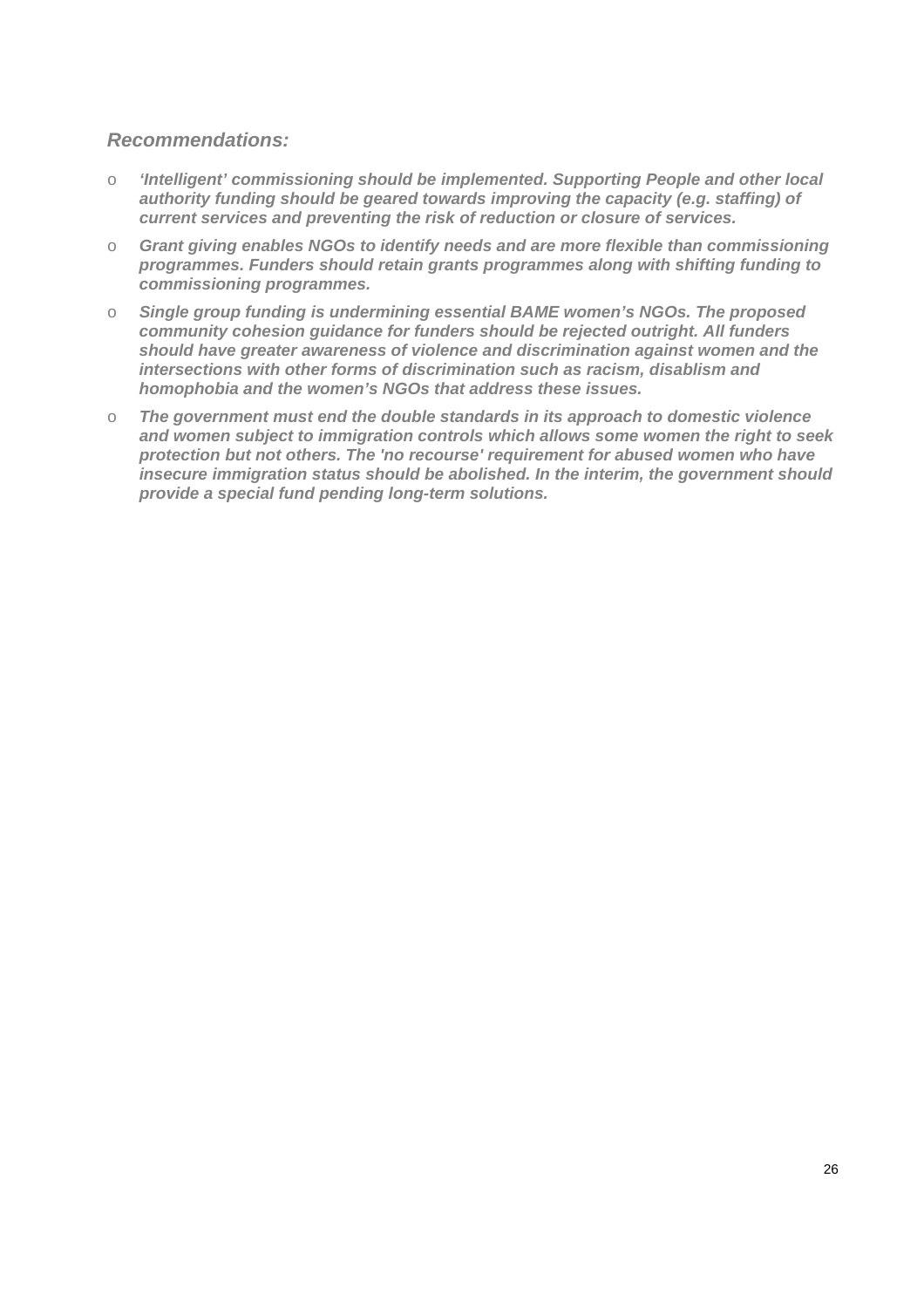### *Recommendations:*

- o *'Intelligent' commissioning should be implemented. Supporting People and other local authority funding should be geared towards improving the capacity (e.g. staffing) of current services and preventing the risk of reduction or closure of services.*
- o *Grant giving enables NGOs to identify needs and are more flexible than commissioning programmes. Funders should retain grants programmes along with shifting funding to commissioning programmes.*
- o *Single group funding is undermining essential BAME women's NGOs. The proposed community cohesion guidance for funders should be rejected outright. All funders should have greater awareness of violence and discrimination against women and the intersections with other forms of discrimination such as racism, disablism and homophobia and the women's NGOs that address these issues.*
- o *The government must end the double standards in its approach to domestic violence and women subject to immigration controls which allows some women the right to seek protection but not others. The 'no recourse' requirement for abused women who have insecure immigration status should be abolished. In the interim, the government should provide a special fund pending long-term solutions.*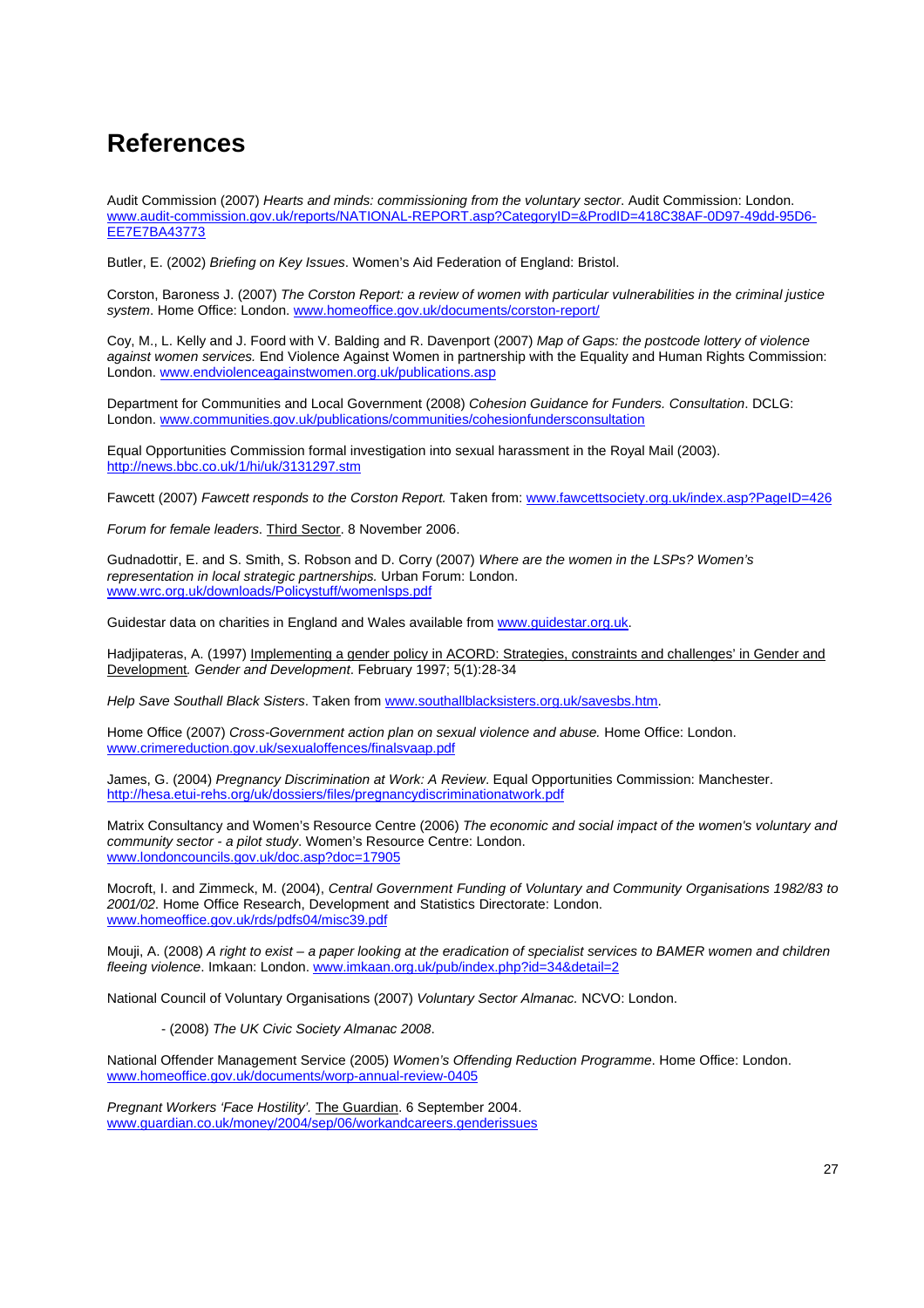## **References**

Audit Commission (2007) *Hearts and minds: commissioning from the voluntary sector*. Audit Commission: London. www.audit-commission.gov.uk/reports/NATIONAL-REPORT.asp?CategoryID=&ProdID=418C38AF-0D97-49dd-95D6- EE7E7BA43773

Butler, E. (2002) *Briefing on Key Issues*. Women's Aid Federation of England: Bristol.

Corston, Baroness J. (2007) *The Corston Report: a review of women with particular vulnerabilities in the criminal justice system*. Home Office: London. www.homeoffice.gov.uk/documents/corston-report/

Coy, M., L. Kelly and J. Foord with V. Balding and R. Davenport (2007) *Map of Gaps: the postcode lottery of violence against women services.* End Violence Against Women in partnership with the Equality and Human Rights Commission: London. www.endviolenceagainstwomen.org.uk/publications.asp

Department for Communities and Local Government (2008) *Cohesion Guidance for Funders. Consultation*. DCLG: London. www.communities.gov.uk/publications/communities/cohesionfundersconsultation

Equal Opportunities Commission formal investigation into sexual harassment in the Royal Mail (2003). http://news.bbc.co.uk/1/hi/uk/3131297.stm

Fawcett (2007) *Fawcett responds to the Corston Report.* Taken from: www.fawcettsociety.org.uk/index.asp?PageID=426

*Forum for female leaders*. Third Sector. 8 November 2006.

Gudnadottir, E. and S. Smith, S. Robson and D. Corry (2007) *Where are the women in the LSPs? Women's representation in local strategic partnerships.* Urban Forum: London. www.wrc.org.uk/downloads/Policystuff/womenlsps.pdf

Guidestar data on charities in England and Wales available from www.guidestar.org.uk.

Hadjipateras, A. (1997) Implementing a gender policy in ACORD: Strategies, constraints and challenges' in Gender and Development*. Gender and Development*. February 1997; 5(1):28-34

*Help Save Southall Black Sisters*. Taken from www.southallblacksisters.org.uk/savesbs.htm.

Home Office (2007) *Cross-Government action plan on sexual violence and abuse.* Home Office: London. www.crimereduction.gov.uk/sexualoffences/finalsvaap.pdf

James, G. (2004) *Pregnancy Discrimination at Work: A Review*. Equal Opportunities Commission: Manchester. http://hesa.etui-rehs.org/uk/dossiers/files/pregnancydiscriminationatwork.pdf

Matrix Consultancy and Women's Resource Centre (2006) *The economic and social impact of the women's voluntary and community sector - a pilot study*. Women's Resource Centre: London. www.londoncouncils.gov.uk/doc.asp?doc=17905

Mocroft, I. and Zimmeck, M. (2004), *Central Government Funding of Voluntary and Community Organisations 1982/83 to 2001/02*. Home Office Research, Development and Statistics Directorate: London. www.homeoffice.gov.uk/rds/pdfs04/misc39.pdf

Mouji, A. (2008) *A right to exist – a paper looking at the eradication of specialist services to BAMER women and children fleeing violence*. Imkaan: London. www.imkaan.org.uk/pub/index.php?id=34&detail=2

National Council of Voluntary Organisations (2007) *Voluntary Sector Almanac.* NCVO: London.

- (2008) *The UK Civic Society Almanac 2008*.

National Offender Management Service (2005) *Women's Offending Reduction Programme*. Home Office: London. www.homeoffice.gov.uk/documents/worp-annual-review-0405

*Pregnant Workers 'Face Hostility'.* The Guardian. 6 September 2004. www.guardian.co.uk/money/2004/sep/06/workandcareers.genderissues